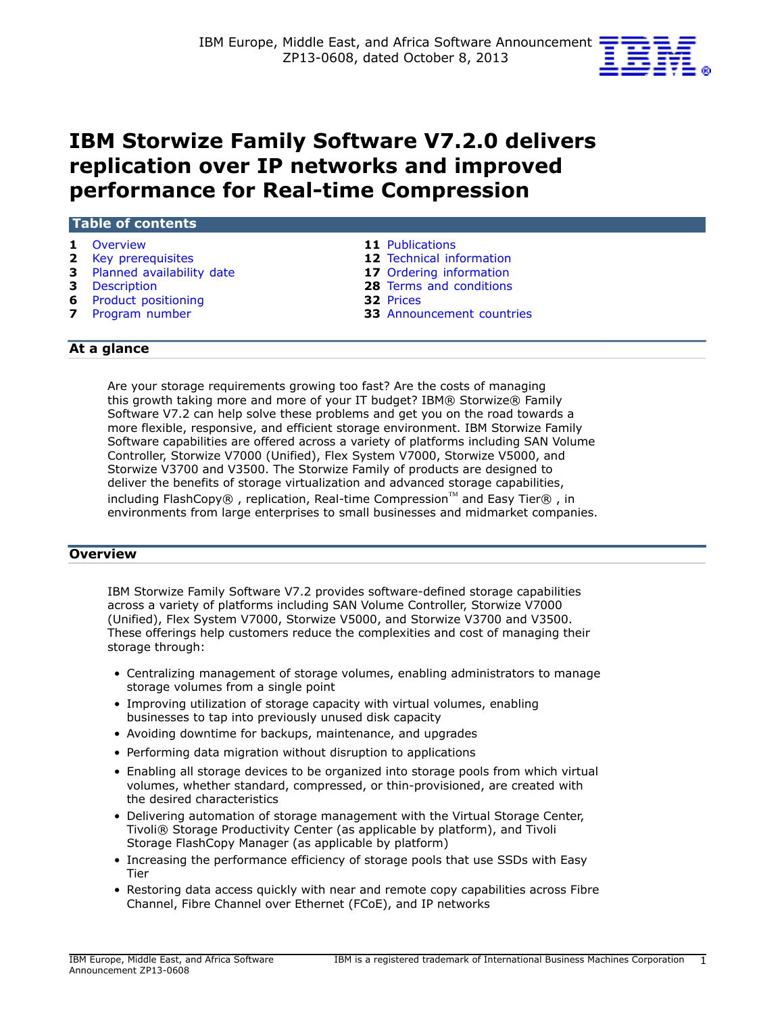

# **IBM Storwize Family Software V7.2.0 delivers replication over IP networks and improved performance for Real-time Compression**

| Table of contents            |                                  |  |  |  |
|------------------------------|----------------------------------|--|--|--|
| 1 Overview                   | <b>11</b> Publications           |  |  |  |
| 2 Key prerequisites          | <b>12</b> Technical information  |  |  |  |
| 3 Planned availability date  | 17 Ordering information          |  |  |  |
| <b>3</b> Description         | 28 Terms and conditions          |  |  |  |
| <b>6</b> Product positioning | 32 Prices                        |  |  |  |
| 7 Program number             | <b>33</b> Announcement countries |  |  |  |
|                              |                                  |  |  |  |

## **At a glance**

Are your storage requirements growing too fast? Are the costs of managing this growth taking more and more of your IT budget? IBM® Storwize® Family Software V7.2 can help solve these problems and get you on the road towards a more flexible, responsive, and efficient storage environment. IBM Storwize Family Software capabilities are offered across a variety of platforms including SAN Volume Controller, Storwize V7000 (Unified), Flex System V7000, Storwize V5000, and Storwize V3700 and V3500. The Storwize Family of products are designed to deliver the benefits of storage virtualization and advanced storage capabilities, including FlashCopy®, replication, Real-time Compression™ and Easy Tier®, in environments from large enterprises to small businesses and midmarket companies.

## <span id="page-0-0"></span>**Overview**

IBM Storwize Family Software V7.2 provides software-defined storage capabilities across a variety of platforms including SAN Volume Controller, Storwize V7000 (Unified), Flex System V7000, Storwize V5000, and Storwize V3700 and V3500. These offerings help customers reduce the complexities and cost of managing their storage through:

- Centralizing management of storage volumes, enabling administrators to manage storage volumes from a single point
- Improving utilization of storage capacity with virtual volumes, enabling businesses to tap into previously unused disk capacity
- Avoiding downtime for backups, maintenance, and upgrades
- Performing data migration without disruption to applications
- Enabling all storage devices to be organized into storage pools from which virtual volumes, whether standard, compressed, or thin-provisioned, are created with the desired characteristics
- Delivering automation of storage management with the Virtual Storage Center, Tivoli® Storage Productivity Center (as applicable by platform), and Tivoli Storage FlashCopy Manager (as applicable by platform)
- Increasing the performance efficiency of storage pools that use SSDs with Easy Tier
- Restoring data access quickly with near and remote copy capabilities across Fibre Channel, Fibre Channel over Ethernet (FCoE), and IP networks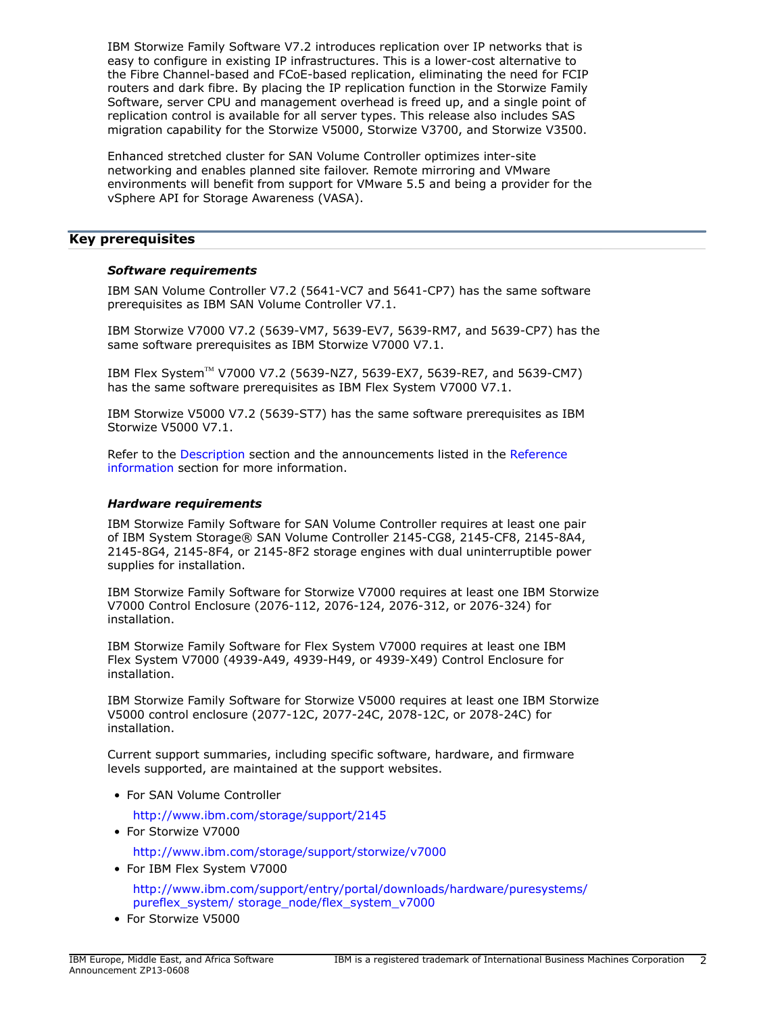IBM Storwize Family Software V7.2 introduces replication over IP networks that is easy to configure in existing IP infrastructures. This is a lower-cost alternative to the Fibre Channel-based and FCoE-based replication, eliminating the need for FCIP routers and dark fibre. By placing the IP replication function in the Storwize Family Software, server CPU and management overhead is freed up, and a single point of replication control is available for all server types. This release also includes SAS migration capability for the Storwize V5000, Storwize V3700, and Storwize V3500.

Enhanced stretched cluster for SAN Volume Controller optimizes inter-site networking and enables planned site failover. Remote mirroring and VMware environments will benefit from support for VMware 5.5 and being a provider for the vSphere API for Storage Awareness (VASA).

# <span id="page-1-0"></span>**Key prerequisites**

## *Software requirements*

IBM SAN Volume Controller V7.2 (5641-VC7 and 5641-CP7) has the same software prerequisites as IBM SAN Volume Controller V7.1.

IBM Storwize V7000 V7.2 (5639-VM7, 5639-EV7, 5639-RM7, and 5639-CP7) has the same software prerequisites as IBM Storwize V7000 V7.1.

IBM Flex System™ V7000 V7.2 (5639-NZ7, 5639-EX7, 5639-RE7, and 5639-CM7) has the same software prerequisites as IBM Flex System V7000 V7.1.

IBM Storwize V5000 V7.2 (5639-ST7) has the same software prerequisites as IBM Storwize V5000 V7.1.

Refer to the [Description](#page-2-1) section and the announcements listed in the [Reference](#page-5-1) [information](#page-5-1) section for more information.

#### *Hardware requirements*

IBM Storwize Family Software for SAN Volume Controller requires at least one pair of IBM System Storage® SAN Volume Controller 2145-CG8, 2145-CF8, 2145-8A4, 2145-8G4, 2145-8F4, or 2145-8F2 storage engines with dual uninterruptible power supplies for installation.

IBM Storwize Family Software for Storwize V7000 requires at least one IBM Storwize V7000 Control Enclosure (2076-112, 2076-124, 2076-312, or 2076-324) for installation.

IBM Storwize Family Software for Flex System V7000 requires at least one IBM Flex System V7000 (4939-A49, 4939-H49, or 4939-X49) Control Enclosure for installation.

IBM Storwize Family Software for Storwize V5000 requires at least one IBM Storwize V5000 control enclosure (2077-12C, 2077-24C, 2078-12C, or 2078-24C) for installation.

Current support summaries, including specific software, hardware, and firmware levels supported, are maintained at the support websites.

• For SAN Volume Controller

<http://www.ibm.com/storage/support/2145>

• For Storwize V7000

<http://www.ibm.com/storage/support/storwize/v7000>

- For IBM Flex System V7000 [http://www.ibm.com/support/entry/portal/downloads/hardware/puresystems/](http://www.ibm.com/support/entry/portal/downloads/hardware/puresystems/pureflex_system/storage_node/flex_system_v7000) [pureflex\\_system/ storage\\_node/flex\\_system\\_v7000](http://www.ibm.com/support/entry/portal/downloads/hardware/puresystems/pureflex_system/storage_node/flex_system_v7000)
- For Storwize V5000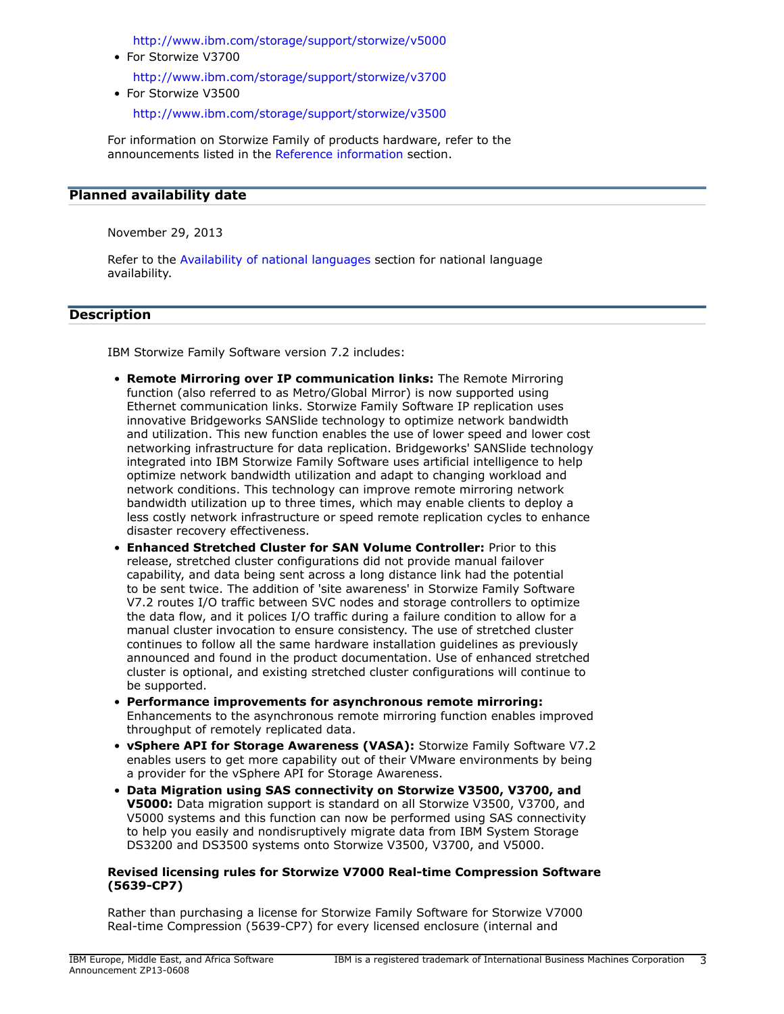<http://www.ibm.com/storage/support/storwize/v5000>

- For Storwize V3700 <http://www.ibm.com/storage/support/storwize/v3700>
- For Storwize V3500

<http://www.ibm.com/storage/support/storwize/v3500>

For information on Storwize Family of products hardware, refer to the announcements listed in the [Reference information](#page-5-1) section.

## <span id="page-2-0"></span>**Planned availability date**

November 29, 2013

Refer to the [Availability of national languages](#page-6-1) section for national language availability.

## <span id="page-2-1"></span>**Description**

IBM Storwize Family Software version 7.2 includes:

- **Remote Mirroring over IP communication links:** The Remote Mirroring function (also referred to as Metro/Global Mirror) is now supported using Ethernet communication links. Storwize Family Software IP replication uses innovative Bridgeworks SANSlide technology to optimize network bandwidth and utilization. This new function enables the use of lower speed and lower cost networking infrastructure for data replication. Bridgeworks' SANSlide technology integrated into IBM Storwize Family Software uses artificial intelligence to help optimize network bandwidth utilization and adapt to changing workload and network conditions. This technology can improve remote mirroring network bandwidth utilization up to three times, which may enable clients to deploy a less costly network infrastructure or speed remote replication cycles to enhance disaster recovery effectiveness.
- **Enhanced Stretched Cluster for SAN Volume Controller:** Prior to this release, stretched cluster configurations did not provide manual failover capability, and data being sent across a long distance link had the potential to be sent twice. The addition of 'site awareness' in Storwize Family Software V7.2 routes I/O traffic between SVC nodes and storage controllers to optimize the data flow, and it polices I/O traffic during a failure condition to allow for a manual cluster invocation to ensure consistency. The use of stretched cluster continues to follow all the same hardware installation guidelines as previously announced and found in the product documentation. Use of enhanced stretched cluster is optional, and existing stretched cluster configurations will continue to be supported.
- **Performance improvements for asynchronous remote mirroring:** Enhancements to the asynchronous remote mirroring function enables improved throughput of remotely replicated data.
- **vSphere API for Storage Awareness (VASA):** Storwize Family Software V7.2 enables users to get more capability out of their VMware environments by being a provider for the vSphere API for Storage Awareness.
- **Data Migration using SAS connectivity on Storwize V3500, V3700, and V5000:** Data migration support is standard on all Storwize V3500, V3700, and V5000 systems and this function can now be performed using SAS connectivity to help you easily and nondisruptively migrate data from IBM System Storage DS3200 and DS3500 systems onto Storwize V3500, V3700, and V5000.

#### **Revised licensing rules for Storwize V7000 Real-time Compression Software (5639-CP7)**

Rather than purchasing a license for Storwize Family Software for Storwize V7000 Real-time Compression (5639-CP7) for every licensed enclosure (internal and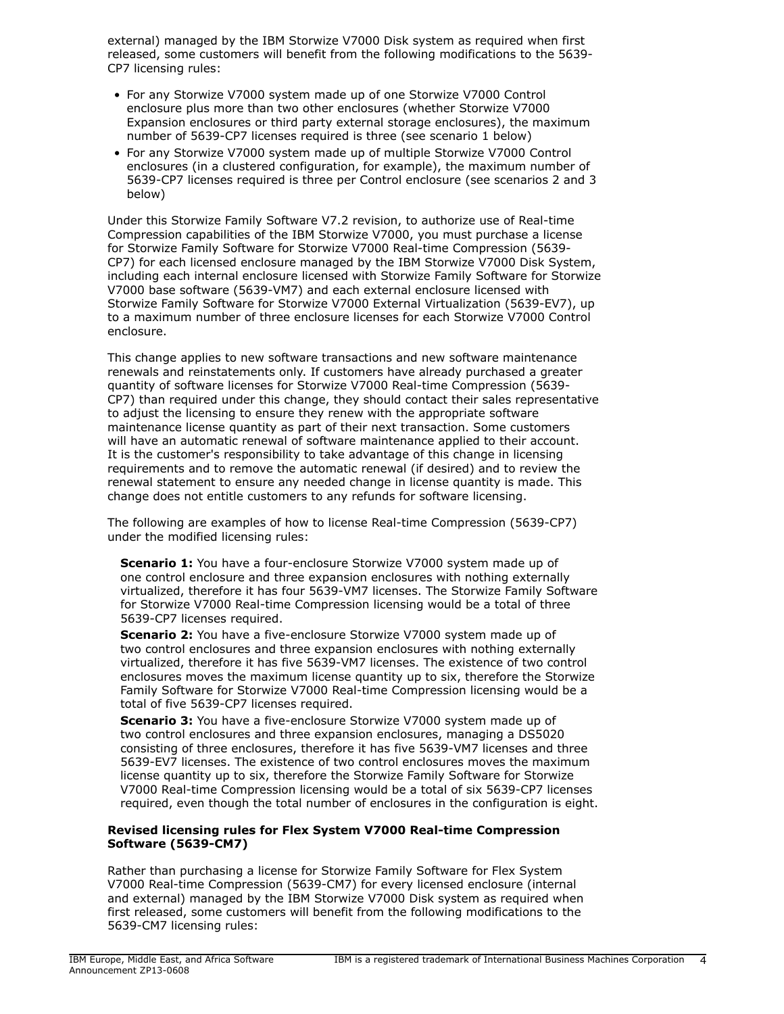external) managed by the IBM Storwize V7000 Disk system as required when first released, some customers will benefit from the following modifications to the 5639- CP7 licensing rules:

- For any Storwize V7000 system made up of one Storwize V7000 Control enclosure plus more than two other enclosures (whether Storwize V7000 Expansion enclosures or third party external storage enclosures), the maximum number of 5639-CP7 licenses required is three (see scenario 1 below)
- For any Storwize V7000 system made up of multiple Storwize V7000 Control enclosures (in a clustered configuration, for example), the maximum number of 5639-CP7 licenses required is three per Control enclosure (see scenarios 2 and 3 below)

Under this Storwize Family Software V7.2 revision, to authorize use of Real-time Compression capabilities of the IBM Storwize V7000, you must purchase a license for Storwize Family Software for Storwize V7000 Real-time Compression (5639- CP7) for each licensed enclosure managed by the IBM Storwize V7000 Disk System, including each internal enclosure licensed with Storwize Family Software for Storwize V7000 base software (5639-VM7) and each external enclosure licensed with Storwize Family Software for Storwize V7000 External Virtualization (5639-EV7), up to a maximum number of three enclosure licenses for each Storwize V7000 Control enclosure.

This change applies to new software transactions and new software maintenance renewals and reinstatements only. If customers have already purchased a greater quantity of software licenses for Storwize V7000 Real-time Compression (5639- CP7) than required under this change, they should contact their sales representative to adjust the licensing to ensure they renew with the appropriate software maintenance license quantity as part of their next transaction. Some customers will have an automatic renewal of software maintenance applied to their account. It is the customer's responsibility to take advantage of this change in licensing requirements and to remove the automatic renewal (if desired) and to review the renewal statement to ensure any needed change in license quantity is made. This change does not entitle customers to any refunds for software licensing.

The following are examples of how to license Real-time Compression (5639-CP7) under the modified licensing rules:

**Scenario 1:** You have a four-enclosure Storwize V7000 system made up of one control enclosure and three expansion enclosures with nothing externally virtualized, therefore it has four 5639-VM7 licenses. The Storwize Family Software for Storwize V7000 Real-time Compression licensing would be a total of three 5639-CP7 licenses required.

**Scenario 2:** You have a five-enclosure Storwize V7000 system made up of two control enclosures and three expansion enclosures with nothing externally virtualized, therefore it has five 5639-VM7 licenses. The existence of two control enclosures moves the maximum license quantity up to six, therefore the Storwize Family Software for Storwize V7000 Real-time Compression licensing would be a total of five 5639-CP7 licenses required.

**Scenario 3:** You have a five-enclosure Storwize V7000 system made up of two control enclosures and three expansion enclosures, managing a DS5020 consisting of three enclosures, therefore it has five 5639-VM7 licenses and three 5639-EV7 licenses. The existence of two control enclosures moves the maximum license quantity up to six, therefore the Storwize Family Software for Storwize V7000 Real-time Compression licensing would be a total of six 5639-CP7 licenses required, even though the total number of enclosures in the configuration is eight.

## **Revised licensing rules for Flex System V7000 Real-time Compression Software (5639-CM7)**

Rather than purchasing a license for Storwize Family Software for Flex System V7000 Real-time Compression (5639-CM7) for every licensed enclosure (internal and external) managed by the IBM Storwize V7000 Disk system as required when first released, some customers will benefit from the following modifications to the 5639-CM7 licensing rules: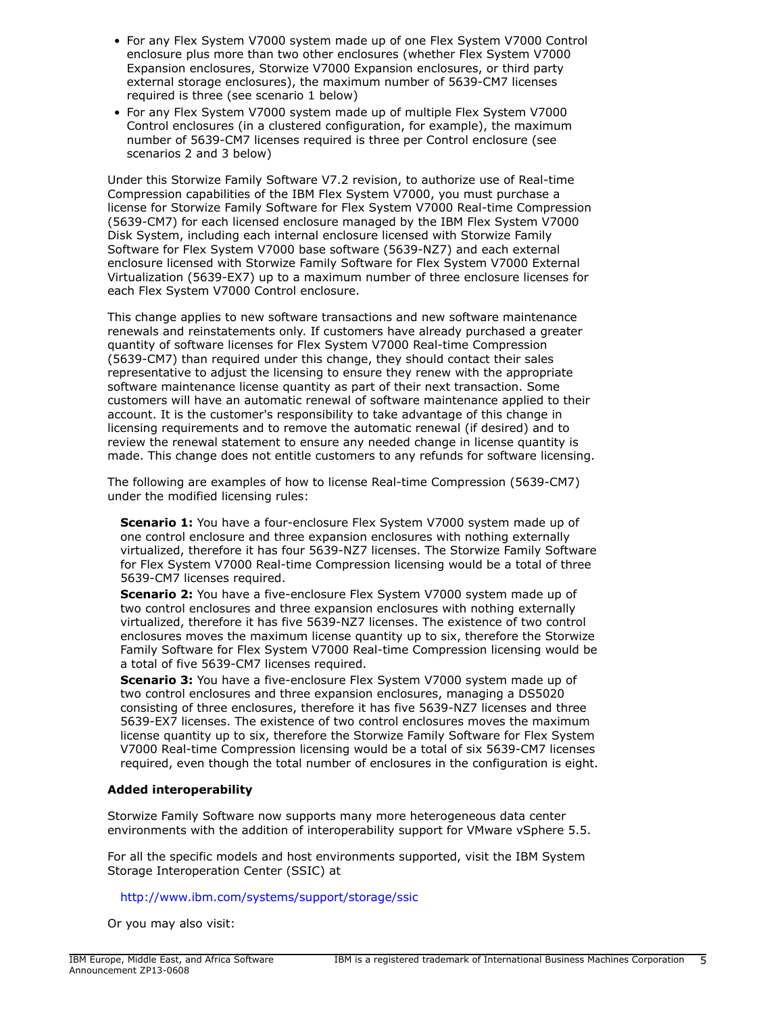- For any Flex System V7000 system made up of one Flex System V7000 Control enclosure plus more than two other enclosures (whether Flex System V7000 Expansion enclosures, Storwize V7000 Expansion enclosures, or third party external storage enclosures), the maximum number of 5639-CM7 licenses required is three (see scenario 1 below)
- For any Flex System V7000 system made up of multiple Flex System V7000 Control enclosures (in a clustered configuration, for example), the maximum number of 5639-CM7 licenses required is three per Control enclosure (see scenarios 2 and 3 below)

Under this Storwize Family Software V7.2 revision, to authorize use of Real-time Compression capabilities of the IBM Flex System V7000, you must purchase a license for Storwize Family Software for Flex System V7000 Real-time Compression (5639-CM7) for each licensed enclosure managed by the IBM Flex System V7000 Disk System, including each internal enclosure licensed with Storwize Family Software for Flex System V7000 base software (5639-NZ7) and each external enclosure licensed with Storwize Family Software for Flex System V7000 External Virtualization (5639-EX7) up to a maximum number of three enclosure licenses for each Flex System V7000 Control enclosure.

This change applies to new software transactions and new software maintenance renewals and reinstatements only. If customers have already purchased a greater quantity of software licenses for Flex System V7000 Real-time Compression (5639-CM7) than required under this change, they should contact their sales representative to adjust the licensing to ensure they renew with the appropriate software maintenance license quantity as part of their next transaction. Some customers will have an automatic renewal of software maintenance applied to their account. It is the customer's responsibility to take advantage of this change in licensing requirements and to remove the automatic renewal (if desired) and to review the renewal statement to ensure any needed change in license quantity is made. This change does not entitle customers to any refunds for software licensing.

The following are examples of how to license Real-time Compression (5639-CM7) under the modified licensing rules:

**Scenario 1:** You have a four-enclosure Flex System V7000 system made up of one control enclosure and three expansion enclosures with nothing externally virtualized, therefore it has four 5639-NZ7 licenses. The Storwize Family Software for Flex System V7000 Real-time Compression licensing would be a total of three 5639-CM7 licenses required.

**Scenario 2:** You have a five-enclosure Flex System V7000 system made up of two control enclosures and three expansion enclosures with nothing externally virtualized, therefore it has five 5639-NZ7 licenses. The existence of two control enclosures moves the maximum license quantity up to six, therefore the Storwize Family Software for Flex System V7000 Real-time Compression licensing would be a total of five 5639-CM7 licenses required.

**Scenario 3:** You have a five-enclosure Flex System V7000 system made up of two control enclosures and three expansion enclosures, managing a DS5020 consisting of three enclosures, therefore it has five 5639-NZ7 licenses and three 5639-EX7 licenses. The existence of two control enclosures moves the maximum license quantity up to six, therefore the Storwize Family Software for Flex System V7000 Real-time Compression licensing would be a total of six 5639-CM7 licenses required, even though the total number of enclosures in the configuration is eight.

## **Added interoperability**

Storwize Family Software now supports many more heterogeneous data center environments with the addition of interoperability support for VMware vSphere 5.5.

For all the specific models and host environments supported, visit the IBM System Storage Interoperation Center (SSIC) at

#### <http://www.ibm.com/systems/support/storage/ssic>

Or you may also visit: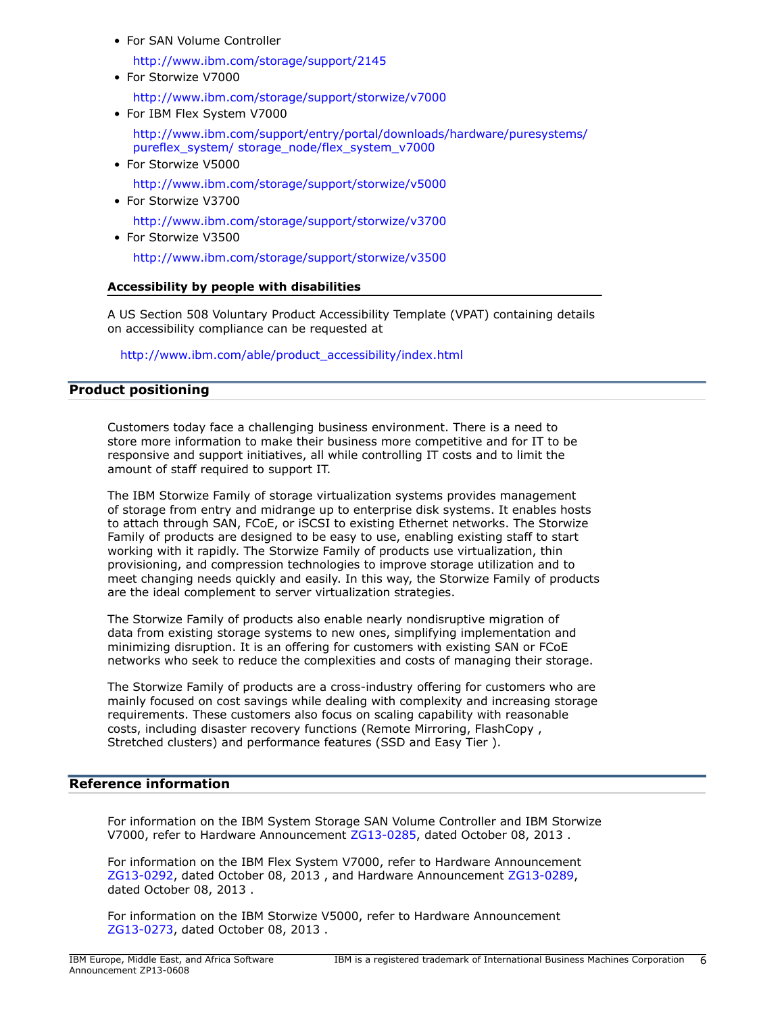• For SAN Volume Controller

<http://www.ibm.com/storage/support/2145>

- For Storwize V7000 <http://www.ibm.com/storage/support/storwize/v7000>
- For IBM Flex System V7000

[http://www.ibm.com/support/entry/portal/downloads/hardware/puresystems/](http://www.ibm.com/support/entry/portal/downloads/hardware/puresystems/pureflex_system/storage_node/flex_system_v7000) [pureflex\\_system/ storage\\_node/flex\\_system\\_v7000](http://www.ibm.com/support/entry/portal/downloads/hardware/puresystems/pureflex_system/storage_node/flex_system_v7000)

• For Storwize V5000

<http://www.ibm.com/storage/support/storwize/v5000>

• For Storwize V3700

<http://www.ibm.com/storage/support/storwize/v3700>

• For Storwize V3500

<http://www.ibm.com/storage/support/storwize/v3500>

## **Accessibility by people with disabilities**

A US Section 508 Voluntary Product Accessibility Template (VPAT) containing details on accessibility compliance can be requested at

[http://www.ibm.com/able/product\\_accessibility/index.html](http://www.ibm.com/able/product_accessibility/index.html)

# <span id="page-5-0"></span>**Product positioning**

Customers today face a challenging business environment. There is a need to store more information to make their business more competitive and for IT to be responsive and support initiatives, all while controlling IT costs and to limit the amount of staff required to support IT.

The IBM Storwize Family of storage virtualization systems provides management of storage from entry and midrange up to enterprise disk systems. It enables hosts to attach through SAN, FCoE, or iSCSI to existing Ethernet networks. The Storwize Family of products are designed to be easy to use, enabling existing staff to start working with it rapidly. The Storwize Family of products use virtualization, thin provisioning, and compression technologies to improve storage utilization and to meet changing needs quickly and easily. In this way, the Storwize Family of products are the ideal complement to server virtualization strategies.

The Storwize Family of products also enable nearly nondisruptive migration of data from existing storage systems to new ones, simplifying implementation and minimizing disruption. It is an offering for customers with existing SAN or FCoE networks who seek to reduce the complexities and costs of managing their storage.

The Storwize Family of products are a cross-industry offering for customers who are mainly focused on cost savings while dealing with complexity and increasing storage requirements. These customers also focus on scaling capability with reasonable costs, including disaster recovery functions (Remote Mirroring, FlashCopy , Stretched clusters) and performance features (SSD and Easy Tier ).

# <span id="page-5-1"></span>**Reference information**

For information on the IBM System Storage SAN Volume Controller and IBM Storwize V7000, refer to Hardware Announcement [ZG13-0285](http://www.ibm.com/common/ssi/cgi-bin/ssialias?infotype=an&subtype=ca&appname=gpateam&supplier=877&letternum=ENUSZG13-0285), dated October 08, 2013 .

For information on the IBM Flex System V7000, refer to Hardware Announcement [ZG13-0292](http://www.ibm.com/common/ssi/cgi-bin/ssialias?infotype=an&subtype=ca&appname=gpateam&supplier=877&letternum=ENUSZG13-0292), dated October 08, 2013 , and Hardware Announcement [ZG13-0289](http://www.ibm.com/common/ssi/cgi-bin/ssialias?infotype=an&subtype=ca&appname=gpateam&supplier=877&letternum=ENUSZG13-0289), dated October 08, 2013 .

For information on the IBM Storwize V5000, refer to Hardware Announcement [ZG13-0273](http://www.ibm.com/common/ssi/cgi-bin/ssialias?infotype=an&subtype=ca&appname=gpateam&supplier=877&letternum=ENUSZG13-0273), dated October 08, 2013 .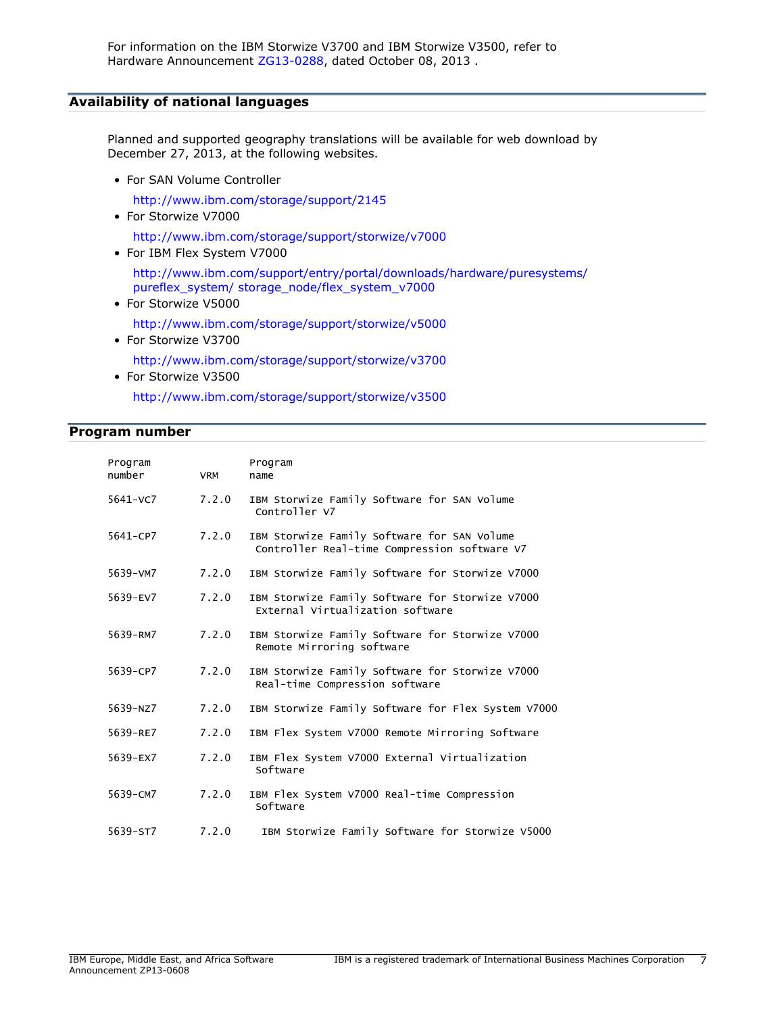# <span id="page-6-1"></span>**Availability of national languages**

Planned and supported geography translations will be available for web download by December 27, 2013, at the following websites.

• For SAN Volume Controller

<http://www.ibm.com/storage/support/2145>

- For Storwize V7000 <http://www.ibm.com/storage/support/storwize/v7000>
- For IBM Flex System V7000

[http://www.ibm.com/support/entry/portal/downloads/hardware/puresystems/](http://www.ibm.com/support/entry/portal/downloads/hardware/puresystems/pureflex_system/storage_node/flex_system_v7000) [pureflex\\_system/ storage\\_node/flex\\_system\\_v7000](http://www.ibm.com/support/entry/portal/downloads/hardware/puresystems/pureflex_system/storage_node/flex_system_v7000)

- For Storwize V5000 <http://www.ibm.com/storage/support/storwize/v5000>
- For Storwize V3700

<http://www.ibm.com/storage/support/storwize/v3700>

• For Storwize V3500 <http://www.ibm.com/storage/support/storwize/v3500>

## <span id="page-6-0"></span>**Program number**

| Program<br>number | <b>VRM</b> | Program<br>name                                                                             |
|-------------------|------------|---------------------------------------------------------------------------------------------|
| 5641-VC7          | 7.2.0      | IBM Storwize Family Software for SAN Volume<br>Controller V7                                |
| 5641-CP7          | 7.2.0      | IBM Storwize Family Software for SAN Volume<br>Controller Real-time Compression software V7 |
| 5639-VM7          | 7.2.0      | IBM Storwize Family Software for Storwize V7000                                             |
| 5639-EV7          | 7.2.0      | IBM Storwize Family Software for Storwize V7000<br>External Virtualization software         |
| 5639-RM7          | 7.2.0      | IBM Storwize Family Software for Storwize V7000<br>Remote Mirroring software                |
| 5639-CP7          | 7.2.0      | IBM Storwize Family Software for Storwize V7000<br>Real-time Compression software           |
| 5639-NZ7          | 7.2.0      | IBM Storwize Family Software for Flex System V7000                                          |
| 5639-RE7          | 7.2.0      | IBM Flex System V7000 Remote Mirroring Software                                             |
| 5639-EX7          | 7.2.0      | IBM Flex System V7000 External Virtualization<br>Software                                   |
| 5639-CM7          | 7.2.0      | IBM Flex System V7000 Real-time Compression<br>Software                                     |
| 5639-ST7          | 7.2.0      | IBM Storwize Family Software for Storwize V5000                                             |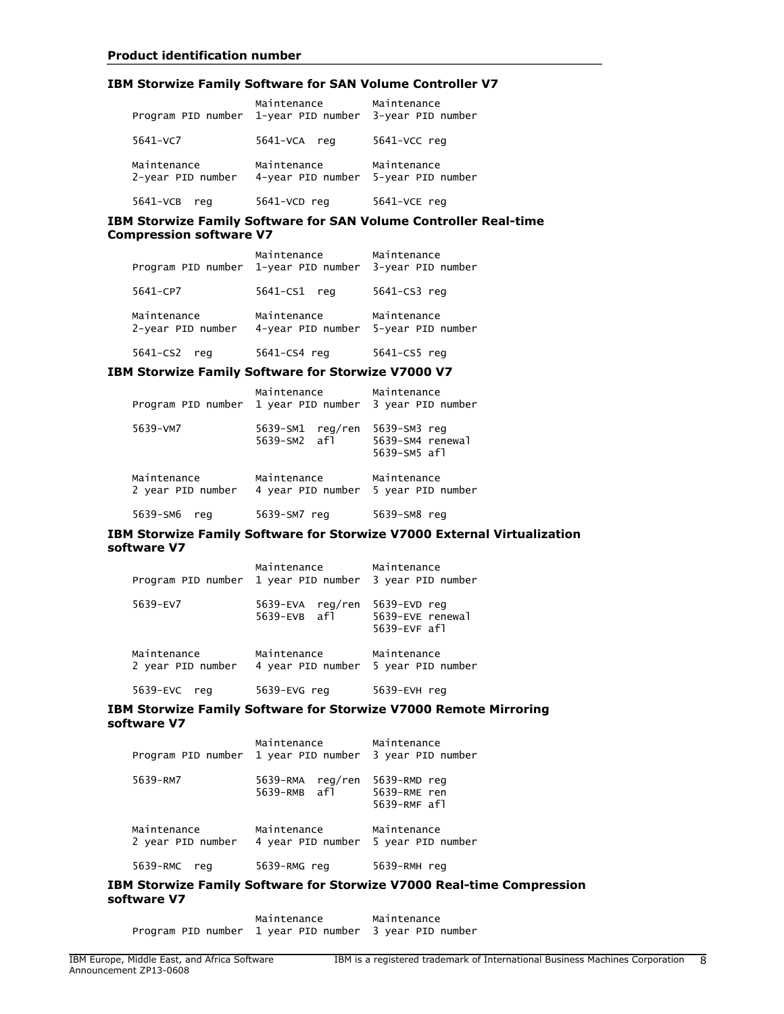#### **IBM Storwize Family Software for SAN Volume Controller V7**

| Program PID number 1-year PID number | Maintenance                      | Maintenance<br>3-year PID number |
|--------------------------------------|----------------------------------|----------------------------------|
| 5641-VC7                             | 5641-VCA reg                     | 5641-VCC reg                     |
| Maintenance<br>2-year PID number     | Maintenance<br>4-year PID number | Maintenance<br>5-year PID number |
| 5641-VCB<br>reg                      | 5641-VCD reg                     | 5641-VCE reg                     |

#### **IBM Storwize Family Software for SAN Volume Controller Real-time Compression software V7**

| Program PID number               | Maintenance<br>1-year PID number | Maintenance<br>3-year PID number |
|----------------------------------|----------------------------------|----------------------------------|
| 5641-CP7                         | 5641-CS1<br>rea                  | 5641-CS3 reg                     |
| Maintenance<br>2-year PID number | Maintenance<br>4-year PID number | Maintenance<br>5-year PID number |
| 5641-CS2<br>rea                  | 5641-CS4 reg                     | 5641-CS5 reg                     |

#### **IBM Storwize Family Software for Storwize V7000 V7**

| Program PID number               | Maintenance<br>1 year PID number | Maintenance<br>3 year PID number                 |
|----------------------------------|----------------------------------|--------------------------------------------------|
| 5639-VM7                         | 5639-SM1 reg/ren<br>5639-SM2 af1 | 5639-SM3 reg<br>5639-SM4 renewal<br>5639-SM5 af1 |
| Maintenance<br>2 year PID number | Maintenance<br>4 year PID number | Maintenance<br>5 year PID number                 |
| 5639-SM6<br>rea                  | 5639-SM7 reg                     | 5639-SM8 reg                                     |

#### **IBM Storwize Family Software for Storwize V7000 External Virtualization software V7**

| Program PID number               | Maintenance<br>1 year PID number 3 year PID number | Maintenance                                         |
|----------------------------------|----------------------------------------------------|-----------------------------------------------------|
| 5639-EV7                         | 5639-EVA reg/ren<br>5639-EVB af1                   | 5639-EVD reg<br>5639-EVE renewal<br>$5639$ -EVF afl |
| Maintenance<br>2 year PID number | Maintenance<br>4 year PID number                   | Maintenance<br>5 year PID number                    |
| 5639-EVC<br>rea                  | 5639-EVG reg                                       | 5639-EVH reg                                        |

#### **IBM Storwize Family Software for Storwize V7000 Remote Mirroring software V7**

| Program PID number 1 year PID number 3 year PID number | Maintenance                                        | Maintenance                                  |
|--------------------------------------------------------|----------------------------------------------------|----------------------------------------------|
| 5639-RM7                                               | 5639-RMA reg/ren<br>5639-RMB afl                   | 5639-RMD reg<br>5639-RME ren<br>5639-RMF af1 |
| Maintenance<br>2 year PID number                       | Maintenance<br>4 year PID number 5 year PID number | Maintenance                                  |
| 5639-RMC<br>reg                                        | 5639-RMG reg                                       | 5639-RMH reg                                 |

#### **IBM Storwize Family Software for Storwize V7000 Real-time Compression software V7**

Maintenance Maintenance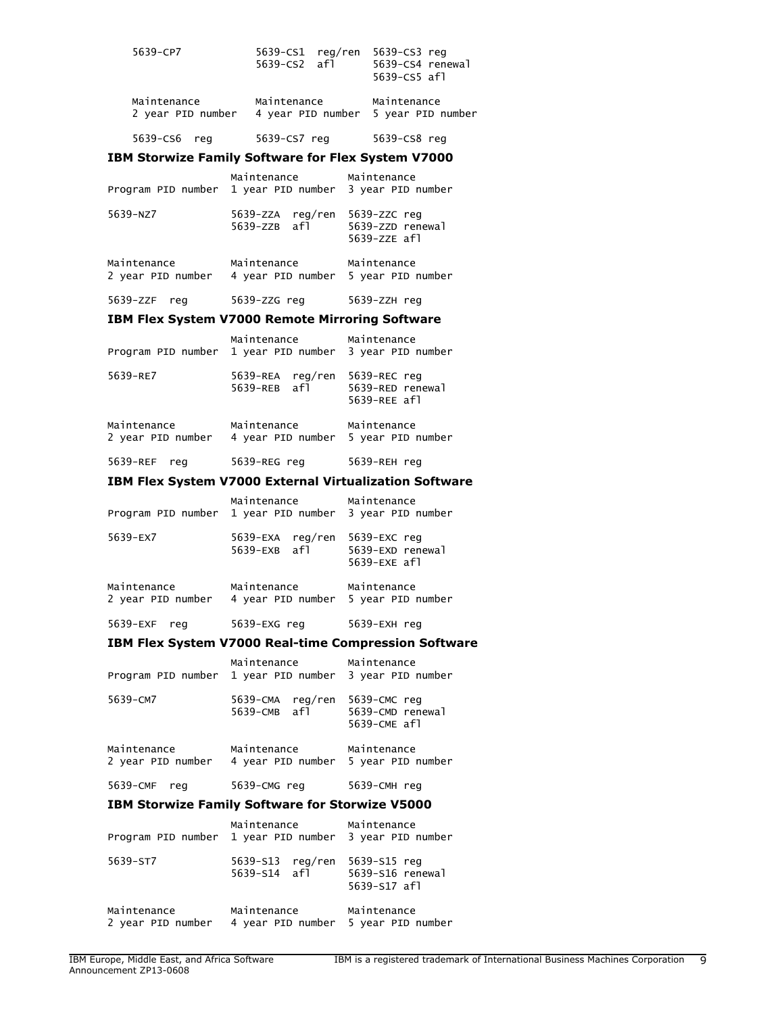| 5639-CP7                         | $5639 - CS1$ reg/ren<br>$5639 - CS2$ afl | 5639-CS3 reg<br>5639-CS4 renewal<br>5639-CS5 af1   |
|----------------------------------|------------------------------------------|----------------------------------------------------|
| Maintenance<br>2 year PID number | Maintenance                              | Maintenance<br>4 year PID number 5 year PID number |

5639-CS6 reg 5639-CS7 reg 5639-CS8 reg

## **IBM Storwize Family Software for Flex System V7000**

| Program PID number 1 year PID number | Maintenance                                        | Maintenance<br>3 year PID number                 |
|--------------------------------------|----------------------------------------------------|--------------------------------------------------|
| 5639-NZ7                             | 5639-ZZA reg/ren<br>5639-ZZB afl                   | 5639-ZZC reg<br>5639-ZZD renewal<br>5639-ZZE af1 |
| Maintenance<br>2 year PID number     | Maintenance<br>4 year PID number 5 year PID number | Maintenance                                      |
| 5639-ZZF reg                         | 5639-zzG reg                                       | 5639-ZZH reg                                     |

#### **IBM Flex System V7000 Remote Mirroring Software**

| Program PID number 1 year PID number | Maintenance                                        | Maintenance<br>3 year PID number                 |
|--------------------------------------|----------------------------------------------------|--------------------------------------------------|
| 5639-RE7                             | 5639-REA reg/ren<br>5639-REB af1                   | 5639-REC reg<br>5639-RED renewal<br>5639-REE af1 |
| Maintenance<br>2 year PID number     | Maintenance<br>4 year PID number 5 year PID number | Maintenance                                      |
| 5639-REF<br>reg                      | 5639-REG reg                                       | 5639-REH reg                                     |

## **IBM Flex System V7000 External Virtualization Software**

| Program PID number 1 year PID number | Maintenance                      | Maintenance<br>3 year PID number                   |
|--------------------------------------|----------------------------------|----------------------------------------------------|
| 5639-EX7                             | 5639-EXA reg/ren<br>5639-EXB af1 | 5639-EXC reg<br>5639-EXD renewal<br>5639-EXE af1   |
| Maintenance<br>2 year PID number     | Maintenance                      | Maintenance<br>4 year PID number 5 year PID number |
| 5639-EXF<br>reg                      | 5639-EXG reg                     | 5639-EXH reg                                       |

#### **IBM Flex System V7000 Real-time Compression Software**

| Program PID number 1 year PID number 3 year PID number               | Maintenance Maintenance             |                                                  |  |
|----------------------------------------------------------------------|-------------------------------------|--------------------------------------------------|--|
| 5639-CM7                                                             | reg/ren<br>5639-СМА<br>5639-CMB afl | 5639-CMC reg<br>5639-CMD renewal<br>5639-CME af1 |  |
| Maintenance<br>2 year PID number 4 year PID number 5 year PID number | Maintenance                         | Maintenance                                      |  |
| 5639-CMF<br>reg                                                      | 5639-CMG req                        | 5639-CMH reg                                     |  |
| <b>IBM Storwize Family Software for Storwize V5000</b>               |                                     |                                                  |  |
|                                                                      | Maintenance                         | Maintenance                                      |  |

| Program PID number 1 year PID number 3 year PID number |                                  | Maintenance |                                                    | Maintenance |
|--------------------------------------------------------|----------------------------------|-------------|----------------------------------------------------|-------------|
| 5639-ST7                                               | 5639-S13 reg/ren<br>5639-S14 af1 |             | 5639-S15 reg<br>5639-S16 renewal<br>5639-S17 af1   |             |
| Maintenance<br>2 year PID number                       | Maintenance                      |             | Maintenance<br>4 year PID number 5 year PID number |             |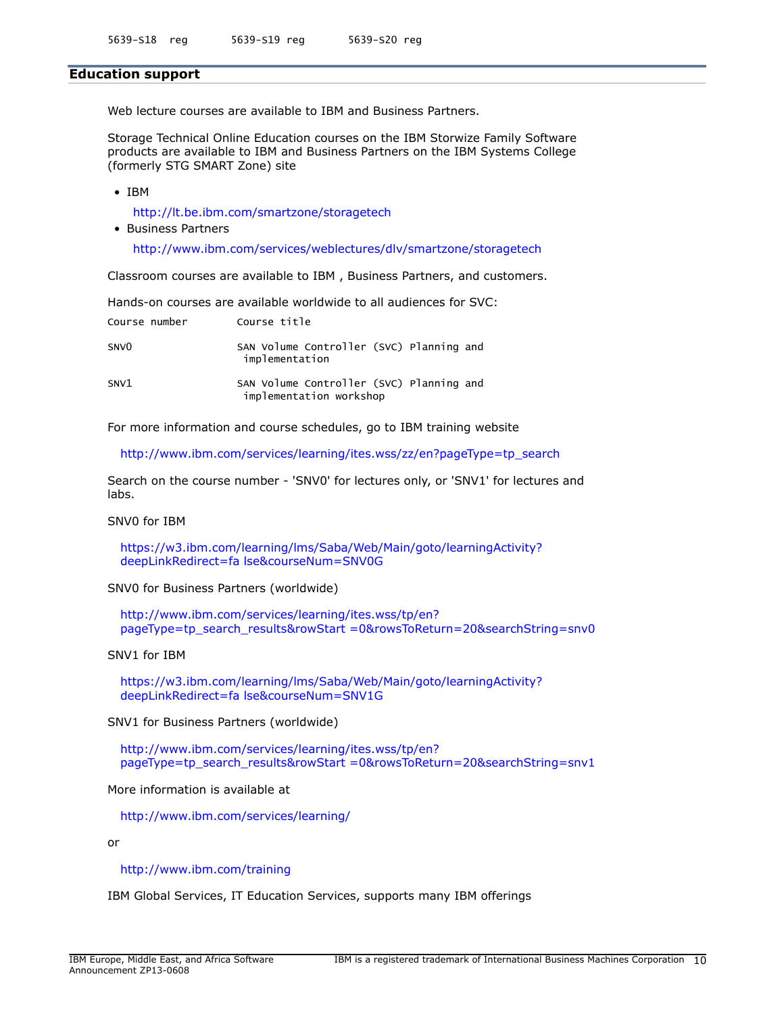#### **Education support**

Web lecture courses are available to IBM and Business Partners.

Storage Technical Online Education courses on the IBM Storwize Family Software products are available to IBM and Business Partners on the IBM Systems College (formerly STG SMART Zone) site

• IBM

<http://lt.be.ibm.com/smartzone/storagetech>

• Business Partners <http://www.ibm.com/services/weblectures/dlv/smartzone/storagetech>

Classroom courses are available to IBM , Business Partners, and customers.

Hands-on courses are available worldwide to all audiences for SVC:

| Course number    | Course title                                                        |
|------------------|---------------------------------------------------------------------|
| SNV <sub>0</sub> | SAN Volume Controller (SVC) Planning and<br>implementation          |
| SNV1             | SAN Volume Controller (SVC) Planning and<br>implementation workshop |

For more information and course schedules, go to IBM training website

[http://www.ibm.com/services/learning/ites.wss/zz/en?pageType=tp\\_search](http://www.ibm.com/services/learning/ites.wss/zz/en?pageType=tp_search)

Search on the course number - 'SNV0' for lectures only, or 'SNV1' for lectures and labs.

#### SNV0 for IBM

[https://w3.ibm.com/learning/lms/Saba/Web/Main/goto/learningActivity?](https://w3.ibm.com/learning/lms/Saba/Web/Main/goto/learningActivity?deepLinkRedirect=false&courseNum=SNV0G) [deepLinkRedirect=fa lse&courseNum=SNV0G](https://w3.ibm.com/learning/lms/Saba/Web/Main/goto/learningActivity?deepLinkRedirect=false&courseNum=SNV0G)

SNV0 for Business Partners (worldwide)

[http://www.ibm.com/services/learning/ites.wss/tp/en?](http://www.ibm.com/services/learning/ites.wss/tp/en?pageType=tp_search_results&rowStart=0&rowsToReturn=20&searchString=snv0) [pageType=tp\\_search\\_results&rowStart =0&rowsToReturn=20&searchString=snv0](http://www.ibm.com/services/learning/ites.wss/tp/en?pageType=tp_search_results&rowStart=0&rowsToReturn=20&searchString=snv0)

SNV1 for IBM

[https://w3.ibm.com/learning/lms/Saba/Web/Main/goto/learningActivity?](https://w3.ibm.com/learning/lms/Saba/Web/Main/goto/learningActivity?deepLinkRedirect=false&courseNum=SNV1G) [deepLinkRedirect=fa lse&courseNum=SNV1G](https://w3.ibm.com/learning/lms/Saba/Web/Main/goto/learningActivity?deepLinkRedirect=false&courseNum=SNV1G)

SNV1 for Business Partners (worldwide)

[http://www.ibm.com/services/learning/ites.wss/tp/en?](http://www.ibm.com/services/learning/ites.wss/tp/en?pageType=tp_search_results&rowStart=0&rowsToReturn=20&searchString=snv1) [pageType=tp\\_search\\_results&rowStart =0&rowsToReturn=20&searchString=snv1](http://www.ibm.com/services/learning/ites.wss/tp/en?pageType=tp_search_results&rowStart=0&rowsToReturn=20&searchString=snv1)

More information is available at

<http://www.ibm.com/services/learning/>

or

<http://www.ibm.com/training>

IBM Global Services, IT Education Services, supports many IBM offerings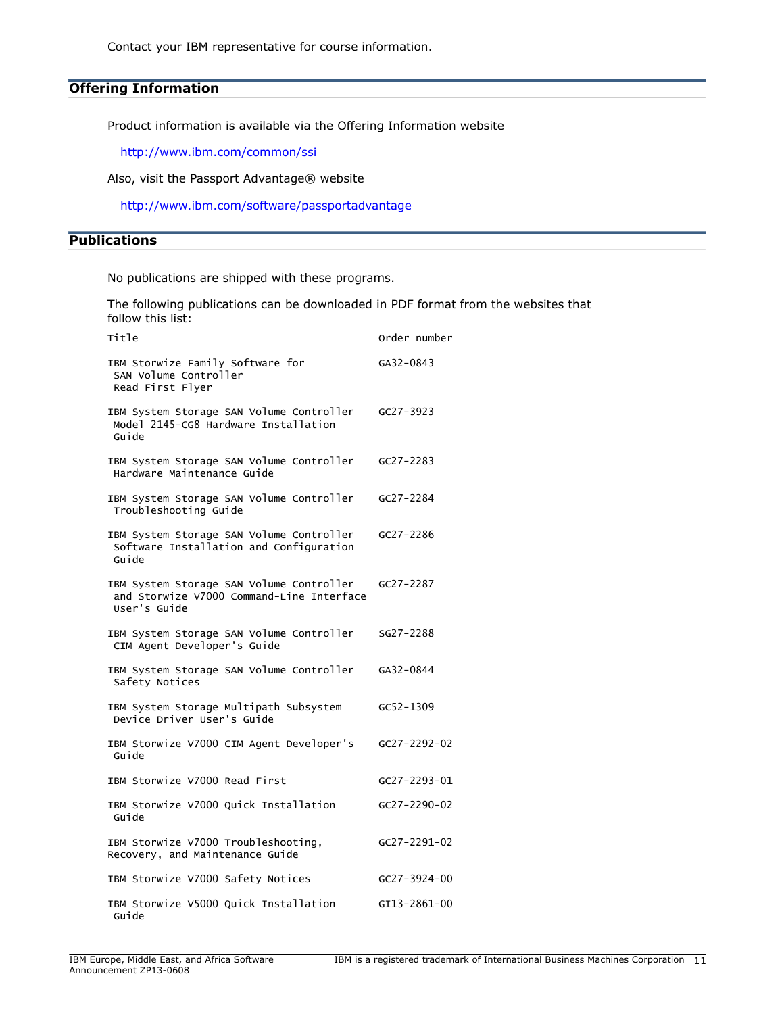Contact your IBM representative for course information.

## **Offering Information**

Product information is available via the Offering Information website

<http://www.ibm.com/common/ssi>

Also, visit the Passport Advantage® website

<http://www.ibm.com/software/passportadvantage>

# <span id="page-10-0"></span>**Publications**

No publications are shipped with these programs.

The following publications can be downloaded in PDF format from the websites that follow this list:

| Title                                                                                                 | Order number       |
|-------------------------------------------------------------------------------------------------------|--------------------|
| IBM Storwize Family Software for<br>SAN Volume Controller<br>Read First Flyer                         | GA32-0843          |
| IBM System Storage SAN Volume Controller<br>Model 2145-CG8 Hardware Installation<br>Guide             | $GC27 - 3923$      |
| IBM System Storage SAN Volume Controller<br>Hardware Maintenance Guide                                | $GC27 - 2283$      |
| IBM System Storage SAN Volume Controller<br>Troubleshooting Guide                                     | GC27-2284          |
| IBM System Storage SAN Volume Controller<br>Software Installation and Configuration<br>Guide          | GC27-2286          |
| IBM System Storage SAN Volume Controller<br>and Storwize V7000 Command-Line Interface<br>User's Guide | $GC27 - 2287$      |
| IBM System Storage SAN Volume Controller<br>CIM Agent Developer's Guide                               | SG27-2288          |
| IBM System Storage SAN Volume Controller<br>Safety Notices                                            | GA32-0844          |
| IBM System Storage Multipath Subsystem<br>Device Driver User's Guide                                  | GC52-1309          |
| IBM Storwize V7000 CIM Agent Developer's<br>Guide                                                     | $GC27 - 2292 - 02$ |
| IBM Storwize V7000 Read First                                                                         | GC27-2293-01       |
| IBM Storwize V7000 Quick Installation<br>Guide                                                        | GC27-2290-02       |
| IBM Storwize V7000 Troubleshooting,<br>Recovery, and Maintenance Guide                                | GC27-2291-02       |
| IBM Storwize V7000 Safety Notices                                                                     | $GC27 - 3924 - 00$ |
| IBM Storwize V5000 Quick Installation<br>Guide                                                        | GI13-2861-00       |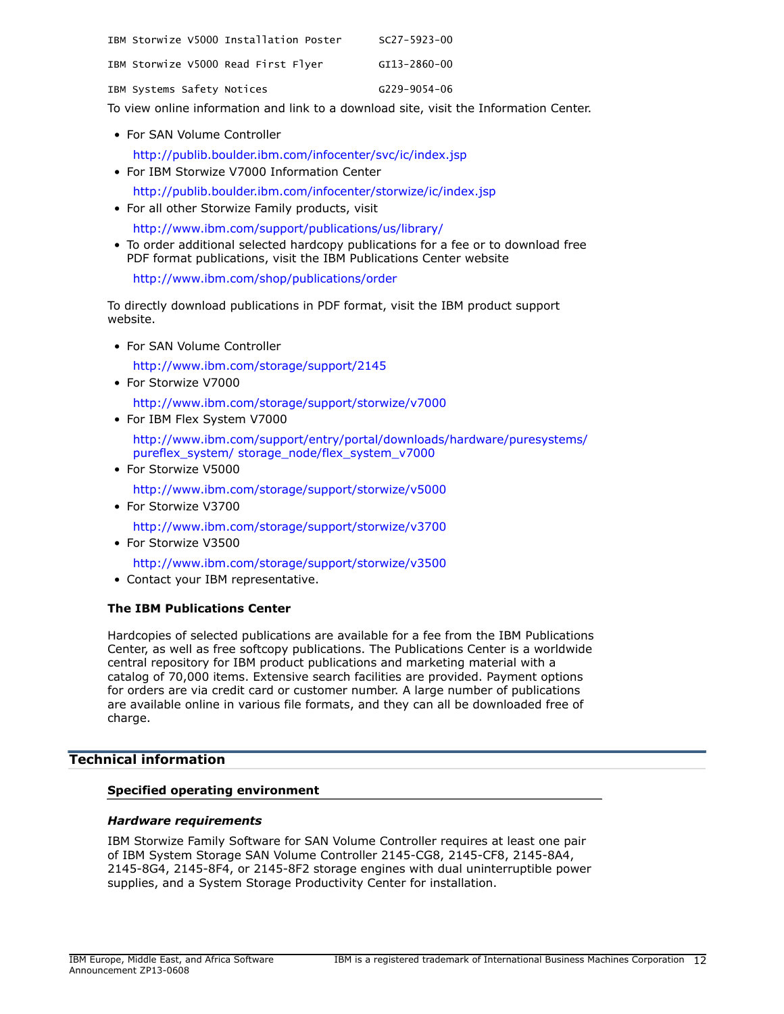|                            | IBM Storwize V5000 Installation Poster | $SC27 - 5923 - 00$ |
|----------------------------|----------------------------------------|--------------------|
|                            | IBM Storwize V5000 Read First Flyer    | GI13-2860-00       |
| IBM Systems Safety Notices |                                        | G229-9054-06       |

To view online information and link to a download site, visit the Information Center.

• For SAN Volume Controller

<http://publib.boulder.ibm.com/infocenter/svc/ic/index.jsp>

- For IBM Storwize V7000 Information Center
	- <http://publib.boulder.ibm.com/infocenter/storwize/ic/index.jsp>
- For all other Storwize Family products, visit <http://www.ibm.com/support/publications/us/library/>
- To order additional selected hardcopy publications for a fee or to download free PDF format publications, visit the IBM Publications Center website

<http://www.ibm.com/shop/publications/order>

To directly download publications in PDF format, visit the IBM product support website.

• For SAN Volume Controller

<http://www.ibm.com/storage/support/2145>

• For Storwize V7000

<http://www.ibm.com/storage/support/storwize/v7000>

• For IBM Flex System V7000

[http://www.ibm.com/support/entry/portal/downloads/hardware/puresystems/](http://www.ibm.com/support/entry/portal/downloads/hardware/puresystems/pureflex_system/storage_node/flex_system_v7000) [pureflex\\_system/ storage\\_node/flex\\_system\\_v7000](http://www.ibm.com/support/entry/portal/downloads/hardware/puresystems/pureflex_system/storage_node/flex_system_v7000)

• For Storwize V5000

<http://www.ibm.com/storage/support/storwize/v5000>

• For Storwize V3700

<http://www.ibm.com/storage/support/storwize/v3700>

• For Storwize V3500

<http://www.ibm.com/storage/support/storwize/v3500>

• Contact your IBM representative.

## **The IBM Publications Center**

Hardcopies of selected publications are available for a fee from the IBM Publications Center, as well as free softcopy publications. The Publications Center is a worldwide central repository for IBM product publications and marketing material with a catalog of 70,000 items. Extensive search facilities are provided. Payment options for orders are via credit card or customer number. A large number of publications are available online in various file formats, and they can all be downloaded free of charge.

# <span id="page-11-0"></span>**Technical information**

## **Specified operating environment**

#### <span id="page-11-1"></span>*Hardware requirements*

IBM Storwize Family Software for SAN Volume Controller requires at least one pair of IBM System Storage SAN Volume Controller 2145-CG8, 2145-CF8, 2145-8A4, 2145-8G4, 2145-8F4, or 2145-8F2 storage engines with dual uninterruptible power supplies, and a System Storage Productivity Center for installation.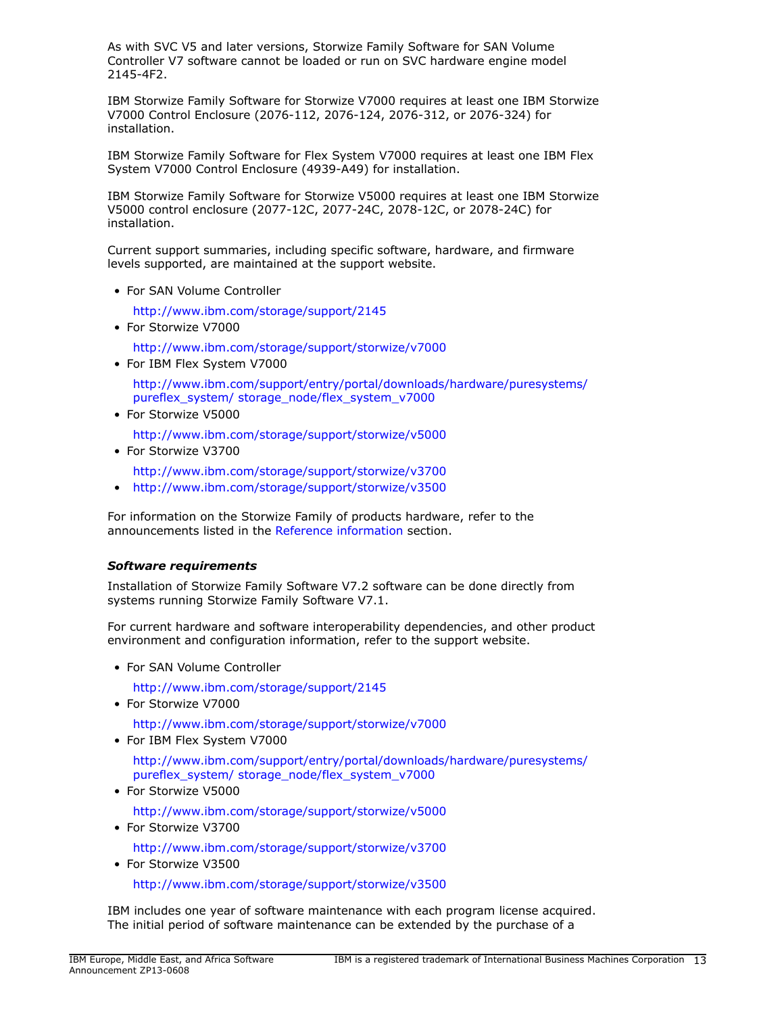As with SVC V5 and later versions, Storwize Family Software for SAN Volume Controller V7 software cannot be loaded or run on SVC hardware engine model 2145-4F2.

IBM Storwize Family Software for Storwize V7000 requires at least one IBM Storwize V7000 Control Enclosure (2076-112, 2076-124, 2076-312, or 2076-324) for installation.

IBM Storwize Family Software for Flex System V7000 requires at least one IBM Flex System V7000 Control Enclosure (4939-A49) for installation.

IBM Storwize Family Software for Storwize V5000 requires at least one IBM Storwize V5000 control enclosure (2077-12C, 2077-24C, 2078-12C, or 2078-24C) for installation.

Current support summaries, including specific software, hardware, and firmware levels supported, are maintained at the support website.

• For SAN Volume Controller

<http://www.ibm.com/storage/support/2145>

• For Storwize V7000

<http://www.ibm.com/storage/support/storwize/v7000>

• For IBM Flex System V7000

[http://www.ibm.com/support/entry/portal/downloads/hardware/puresystems/](http://www.ibm.com/support/entry/portal/downloads/hardware/puresystems/pureflex_system/storage_node/flex_system_v7000) [pureflex\\_system/ storage\\_node/flex\\_system\\_v7000](http://www.ibm.com/support/entry/portal/downloads/hardware/puresystems/pureflex_system/storage_node/flex_system_v7000)

• For Storwize V5000

<http://www.ibm.com/storage/support/storwize/v5000>

• For Storwize V3700

<http://www.ibm.com/storage/support/storwize/v3700>

• <http://www.ibm.com/storage/support/storwize/v3500>

For information on the Storwize Family of products hardware, refer to the announcements listed in the [Reference information](#page-5-1) section.

# <span id="page-12-0"></span>*Software requirements*

Installation of Storwize Family Software V7.2 software can be done directly from systems running Storwize Family Software V7.1.

For current hardware and software interoperability dependencies, and other product environment and configuration information, refer to the support website.

• For SAN Volume Controller

<http://www.ibm.com/storage/support/2145>

• For Storwize V7000

<http://www.ibm.com/storage/support/storwize/v7000>

• For IBM Flex System V7000

[http://www.ibm.com/support/entry/portal/downloads/hardware/puresystems/](http://www.ibm.com/support/entry/portal/downloads/hardware/puresystems/pureflex_system/storage_node/flex_system_v7000) [pureflex\\_system/ storage\\_node/flex\\_system\\_v7000](http://www.ibm.com/support/entry/portal/downloads/hardware/puresystems/pureflex_system/storage_node/flex_system_v7000)

• For Storwize V5000

<http://www.ibm.com/storage/support/storwize/v5000>

• For Storwize V3700

<http://www.ibm.com/storage/support/storwize/v3700>

• For Storwize V3500

<http://www.ibm.com/storage/support/storwize/v3500>

IBM includes one year of software maintenance with each program license acquired. The initial period of software maintenance can be extended by the purchase of a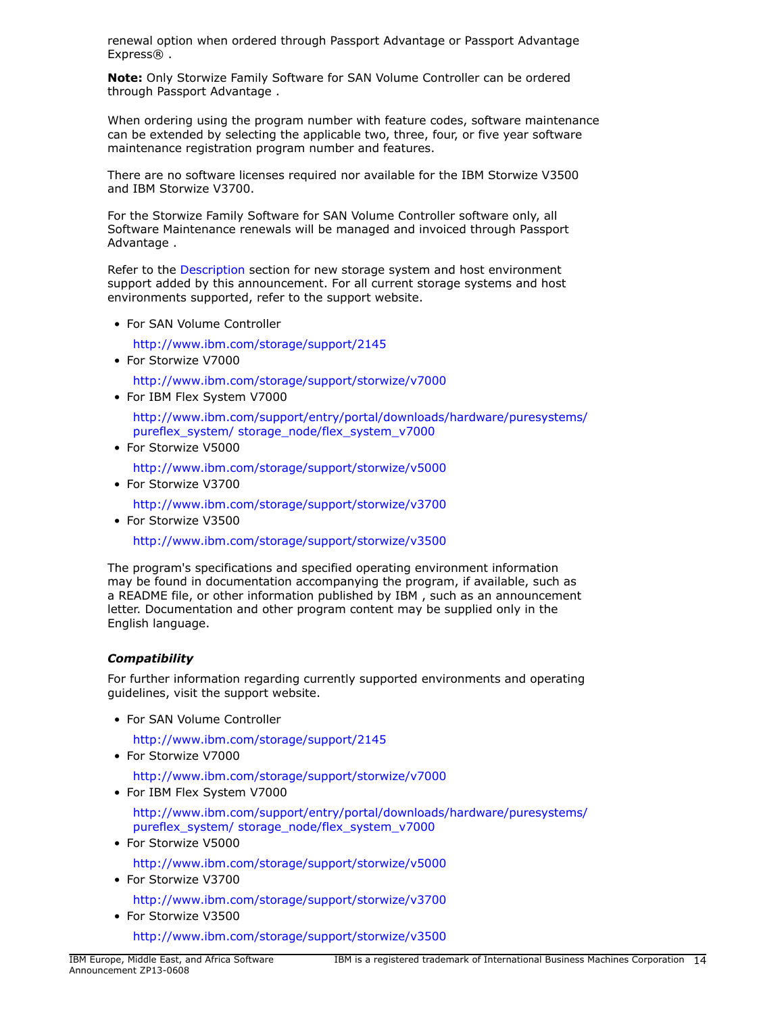renewal option when ordered through Passport Advantage or Passport Advantage Express®.

**Note:** Only Storwize Family Software for SAN Volume Controller can be ordered through Passport Advantage .

When ordering using the program number with feature codes, software maintenance can be extended by selecting the applicable two, three, four, or five year software maintenance registration program number and features.

There are no software licenses required nor available for the IBM Storwize V3500 and IBM Storwize V3700.

For the Storwize Family Software for SAN Volume Controller software only, all Software Maintenance renewals will be managed and invoiced through Passport Advantage .

Refer to the [Description](#page-2-1) section for new storage system and host environment support added by this announcement. For all current storage systems and host environments supported, refer to the support website.

• For SAN Volume Controller

<http://www.ibm.com/storage/support/2145>

• For Storwize V7000

<http://www.ibm.com/storage/support/storwize/v7000>

• For IBM Flex System V7000

[http://www.ibm.com/support/entry/portal/downloads/hardware/puresystems/](http://www.ibm.com/support/entry/portal/downloads/hardware/puresystems/pureflex_system/storage_node/flex_system_v7000) [pureflex\\_system/ storage\\_node/flex\\_system\\_v7000](http://www.ibm.com/support/entry/portal/downloads/hardware/puresystems/pureflex_system/storage_node/flex_system_v7000)

• For Storwize V5000

<http://www.ibm.com/storage/support/storwize/v5000>

• For Storwize V3700

<http://www.ibm.com/storage/support/storwize/v3700>

• For Storwize V3500

<http://www.ibm.com/storage/support/storwize/v3500>

The program's specifications and specified operating environment information may be found in documentation accompanying the program, if available, such as a README file, or other information published by IBM , such as an announcement letter. Documentation and other program content may be supplied only in the English language.

# *Compatibility*

For further information regarding currently supported environments and operating guidelines, visit the support website.

• For SAN Volume Controller

<http://www.ibm.com/storage/support/2145>

• For Storwize V7000

<http://www.ibm.com/storage/support/storwize/v7000>

• For IBM Flex System V7000

[http://www.ibm.com/support/entry/portal/downloads/hardware/puresystems/](http://www.ibm.com/support/entry/portal/downloads/hardware/puresystems/pureflex_system/storage_node/flex_system_v7000) [pureflex\\_system/ storage\\_node/flex\\_system\\_v7000](http://www.ibm.com/support/entry/portal/downloads/hardware/puresystems/pureflex_system/storage_node/flex_system_v7000)

• For Storwize V5000

<http://www.ibm.com/storage/support/storwize/v5000>

• For Storwize V3700

<http://www.ibm.com/storage/support/storwize/v3700>

• For Storwize V3500

<http://www.ibm.com/storage/support/storwize/v3500>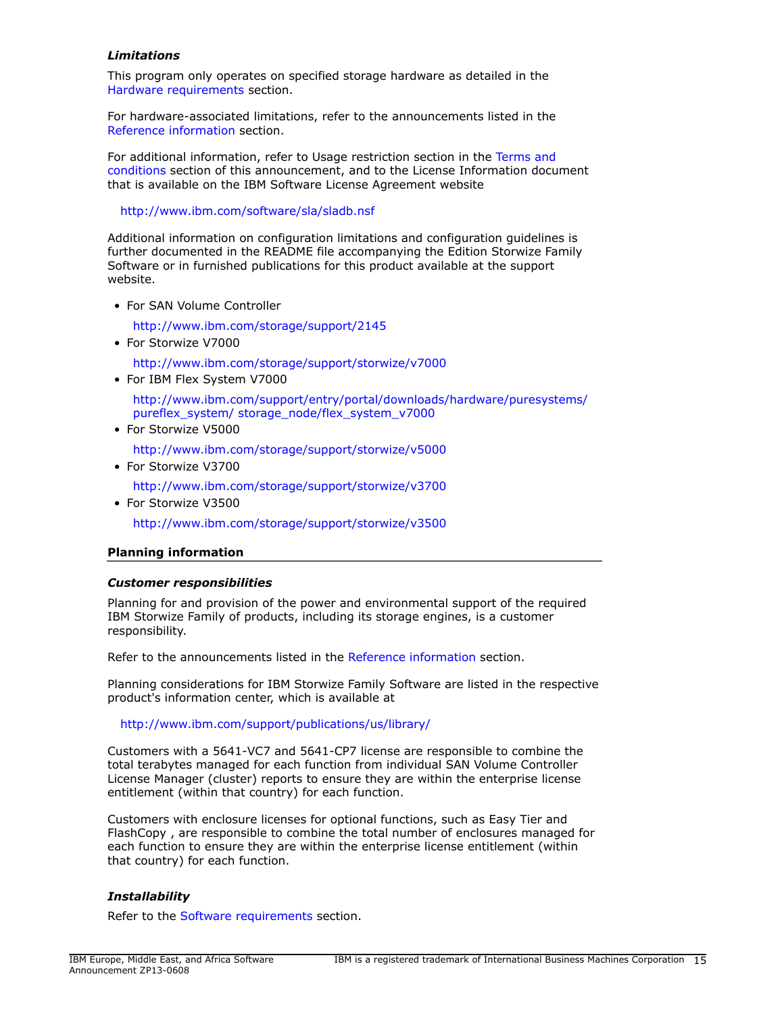## *Limitations*

This program only operates on specified storage hardware as detailed in the [Hardware requirements](#page-11-1) section.

For hardware-associated limitations, refer to the announcements listed in the [Reference information](#page-5-1) section.

For additional information, refer to Usage restriction section in the [Terms and](#page-27-0) [conditions](#page-27-0) section of this announcement, and to the License Information document that is available on the IBM Software License Agreement website

<http://www.ibm.com/software/sla/sladb.nsf>

Additional information on configuration limitations and configuration guidelines is further documented in the README file accompanying the Edition Storwize Family Software or in furnished publications for this product available at the support website.

• For SAN Volume Controller

<http://www.ibm.com/storage/support/2145>

• For Storwize V7000

<http://www.ibm.com/storage/support/storwize/v7000>

• For IBM Flex System V7000

[http://www.ibm.com/support/entry/portal/downloads/hardware/puresystems/](http://www.ibm.com/support/entry/portal/downloads/hardware/puresystems/pureflex_system/storage_node/flex_system_v7000) [pureflex\\_system/ storage\\_node/flex\\_system\\_v7000](http://www.ibm.com/support/entry/portal/downloads/hardware/puresystems/pureflex_system/storage_node/flex_system_v7000)

• For Storwize V5000

<http://www.ibm.com/storage/support/storwize/v5000>

• For Storwize V3700

<http://www.ibm.com/storage/support/storwize/v3700>

• For Storwize V3500

<http://www.ibm.com/storage/support/storwize/v3500>

## **Planning information**

## *Customer responsibilities*

Planning for and provision of the power and environmental support of the required IBM Storwize Family of products, including its storage engines, is a customer responsibility.

Refer to the announcements listed in the [Reference information](#page-5-1) section.

Planning considerations for IBM Storwize Family Software are listed in the respective product's information center, which is available at

<http://www.ibm.com/support/publications/us/library/>

Customers with a 5641-VC7 and 5641-CP7 license are responsible to combine the total terabytes managed for each function from individual SAN Volume Controller License Manager (cluster) reports to ensure they are within the enterprise license entitlement (within that country) for each function.

Customers with enclosure licenses for optional functions, such as Easy Tier and FlashCopy , are responsible to combine the total number of enclosures managed for each function to ensure they are within the enterprise license entitlement (within that country) for each function.

## *Installability*

Refer to the [Software requirements](#page-12-0) section.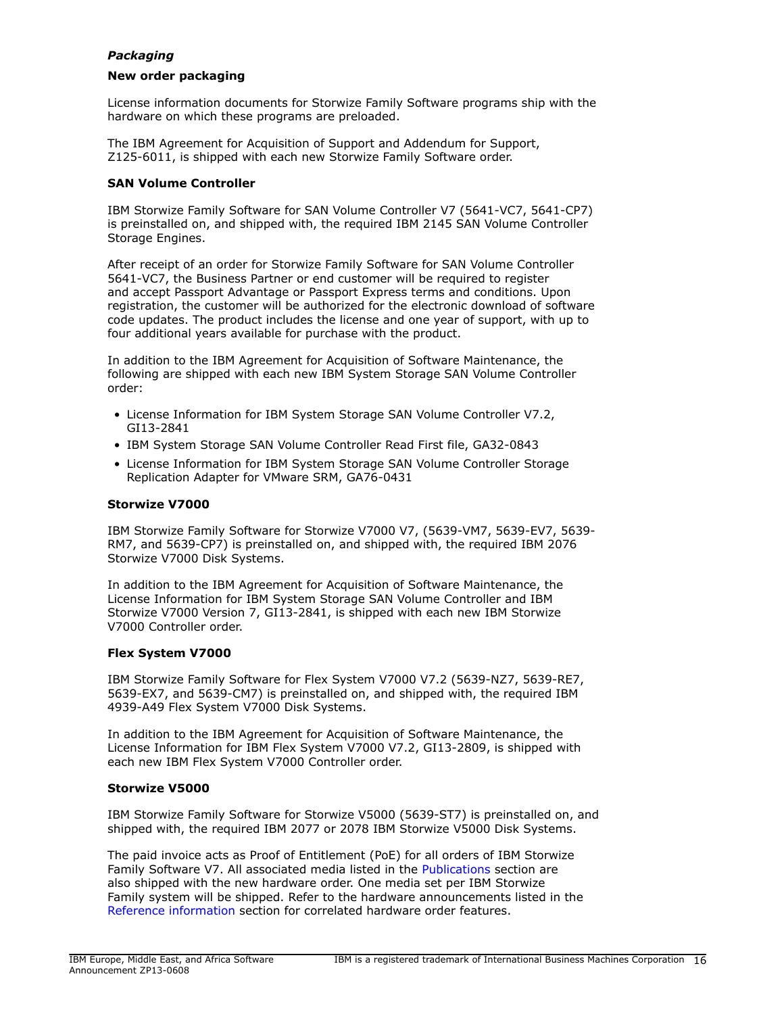## *Packaging*

## **New order packaging**

License information documents for Storwize Family Software programs ship with the hardware on which these programs are preloaded.

The IBM Agreement for Acquisition of Support and Addendum for Support, Z125-6011, is shipped with each new Storwize Family Software order.

## **SAN Volume Controller**

IBM Storwize Family Software for SAN Volume Controller V7 (5641-VC7, 5641-CP7) is preinstalled on, and shipped with, the required IBM 2145 SAN Volume Controller Storage Engines.

After receipt of an order for Storwize Family Software for SAN Volume Controller 5641-VC7, the Business Partner or end customer will be required to register and accept Passport Advantage or Passport Express terms and conditions. Upon registration, the customer will be authorized for the electronic download of software code updates. The product includes the license and one year of support, with up to four additional years available for purchase with the product.

In addition to the IBM Agreement for Acquisition of Software Maintenance, the following are shipped with each new IBM System Storage SAN Volume Controller order:

- License Information for IBM System Storage SAN Volume Controller V7.2, GI13-2841
- IBM System Storage SAN Volume Controller Read First file, GA32-0843
- License Information for IBM System Storage SAN Volume Controller Storage Replication Adapter for VMware SRM, GA76-0431

## **Storwize V7000**

IBM Storwize Family Software for Storwize V7000 V7, (5639-VM7, 5639-EV7, 5639- RM7, and 5639-CP7) is preinstalled on, and shipped with, the required IBM 2076 Storwize V7000 Disk Systems.

In addition to the IBM Agreement for Acquisition of Software Maintenance, the License Information for IBM System Storage SAN Volume Controller and IBM Storwize V7000 Version 7, GI13-2841, is shipped with each new IBM Storwize V7000 Controller order.

## **Flex System V7000**

IBM Storwize Family Software for Flex System V7000 V7.2 (5639-NZ7, 5639-RE7, 5639-EX7, and 5639-CM7) is preinstalled on, and shipped with, the required IBM 4939-A49 Flex System V7000 Disk Systems.

In addition to the IBM Agreement for Acquisition of Software Maintenance, the License Information for IBM Flex System V7000 V7.2, GI13-2809, is shipped with each new IBM Flex System V7000 Controller order.

## **Storwize V5000**

IBM Storwize Family Software for Storwize V5000 (5639-ST7) is preinstalled on, and shipped with, the required IBM 2077 or 2078 IBM Storwize V5000 Disk Systems.

The paid invoice acts as Proof of Entitlement (PoE) for all orders of IBM Storwize Family Software V7. All associated media listed in the [Publications](#page-10-0) section are also shipped with the new hardware order. One media set per IBM Storwize Family system will be shipped. Refer to the hardware announcements listed in the [Reference information](#page-5-1) section for correlated hardware order features.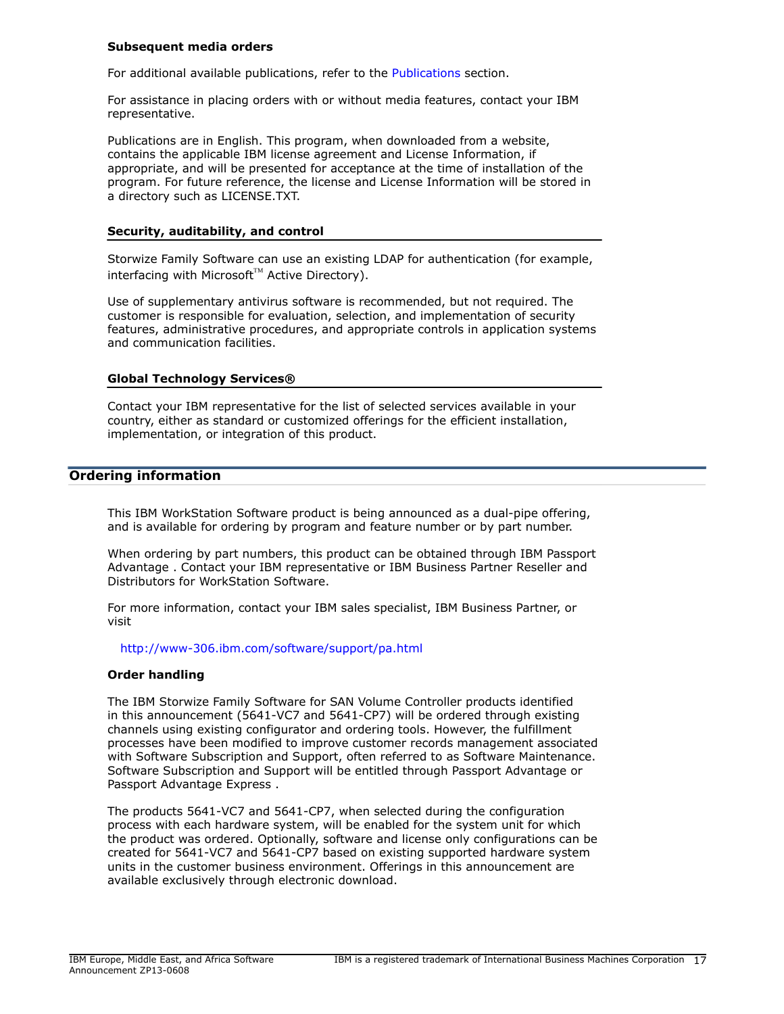#### **Subsequent media orders**

For additional available publications, refer to the [Publications](#page-10-0) section.

For assistance in placing orders with or without media features, contact your IBM representative.

Publications are in English. This program, when downloaded from a website, contains the applicable IBM license agreement and License Information, if appropriate, and will be presented for acceptance at the time of installation of the program. For future reference, the license and License Information will be stored in a directory such as LICENSE.TXT.

#### **Security, auditability, and control**

Storwize Family Software can use an existing LDAP for authentication (for example,  $interfacing$  with Microsoft<sup>™</sup> Active Directory).

Use of supplementary antivirus software is recommended, but not required. The customer is responsible for evaluation, selection, and implementation of security features, administrative procedures, and appropriate controls in application systems and communication facilities.

## **Global Technology Services®**

Contact your IBM representative for the list of selected services available in your country, either as standard or customized offerings for the efficient installation, implementation, or integration of this product.

## <span id="page-16-0"></span>**Ordering information**

This IBM WorkStation Software product is being announced as a dual-pipe offering, and is available for ordering by program and feature number or by part number.

When ordering by part numbers, this product can be obtained through IBM Passport Advantage . Contact your IBM representative or IBM Business Partner Reseller and Distributors for WorkStation Software.

For more information, contact your IBM sales specialist, IBM Business Partner, or visit

<http://www-306.ibm.com/software/support/pa.html>

#### **Order handling**

The IBM Storwize Family Software for SAN Volume Controller products identified in this announcement (5641-VC7 and 5641-CP7) will be ordered through existing channels using existing configurator and ordering tools. However, the fulfillment processes have been modified to improve customer records management associated with Software Subscription and Support, often referred to as Software Maintenance. Software Subscription and Support will be entitled through Passport Advantage or Passport Advantage Express .

The products 5641-VC7 and 5641-CP7, when selected during the configuration process with each hardware system, will be enabled for the system unit for which the product was ordered. Optionally, software and license only configurations can be created for 5641-VC7 and 5641-CP7 based on existing supported hardware system units in the customer business environment. Offerings in this announcement are available exclusively through electronic download.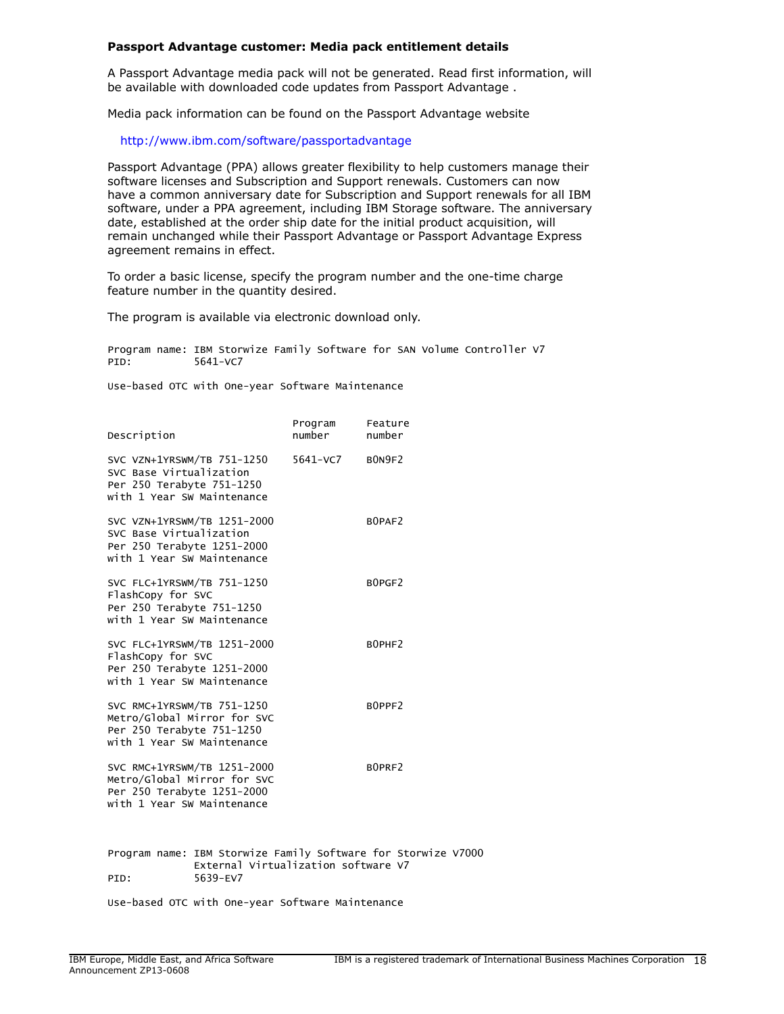#### **Passport Advantage customer: Media pack entitlement details**

A Passport Advantage media pack will not be generated. Read first information, will be available with downloaded code updates from Passport Advantage .

Media pack information can be found on the Passport Advantage website

<http://www.ibm.com/software/passportadvantage>

Passport Advantage (PPA) allows greater flexibility to help customers manage their software licenses and Subscription and Support renewals. Customers can now have a common anniversary date for Subscription and Support renewals for all IBM software, under a PPA agreement, including IBM Storage software. The anniversary date, established at the order ship date for the initial product acquisition, will remain unchanged while their Passport Advantage or Passport Advantage Express agreement remains in effect.

To order a basic license, specify the program number and the one-time charge feature number in the quantity desired.

The program is available via electronic download only.

Program name: IBM Storwize Family Software for SAN Volume Controller V7 PID: 5641-VC7

Use-based OTC with One-year Software Maintenance

| Description                                                                                                            |                                                 | Program<br>number | Feature<br>number                                             |
|------------------------------------------------------------------------------------------------------------------------|-------------------------------------------------|-------------------|---------------------------------------------------------------|
| SVC VZN+1YRSWM/TB 751-1250<br>SVC Base Virtualization<br>Per 250 Terabyte 751-1250<br>with 1 Year SW Maintenance       |                                                 | 5641-VC7 BON9F2   |                                                               |
| SVC VZN+1YRSWM/TB 1251-2000<br>SVC Base Virtualization<br>Per 250 Terabyte 1251-2000<br>with 1 Year SW Maintenance     |                                                 |                   | BOPAF2                                                        |
| SVC FLC+1YRSWM/TB 751-1250<br>FlashCopy for SVC<br>Per 250 Terabyte 751-1250<br>with 1 Year SW Maintenance             |                                                 |                   | BOPGF2                                                        |
| SVC FLC+1YRSWM/TB 1251-2000<br>FlashCopy for SVC<br>Per 250 Terabyte 1251-2000<br>with 1 Year SW Maintenance           |                                                 |                   | BOPHF2                                                        |
| SVC RMC+1YRSWM/TB 751-1250<br>Metro/Global Mirror for SVC<br>Per 250 Terabyte 751-1250<br>with 1 Year SW Maintenance   |                                                 |                   | BOPPF2                                                        |
| SVC RMC+1YRSWM/TB 1251-2000<br>Metro/Global Mirror for SVC<br>Per 250 Terabyte 1251-2000<br>with 1 Year SW Maintenance |                                                 |                   | BOPRF2                                                        |
| PID:                                                                                                                   | External Virtualization software V7<br>5639-EV7 |                   | Program name: IBM Storwize Family Software for Storwize V7000 |

Use-based OTC with One-year Software Maintenance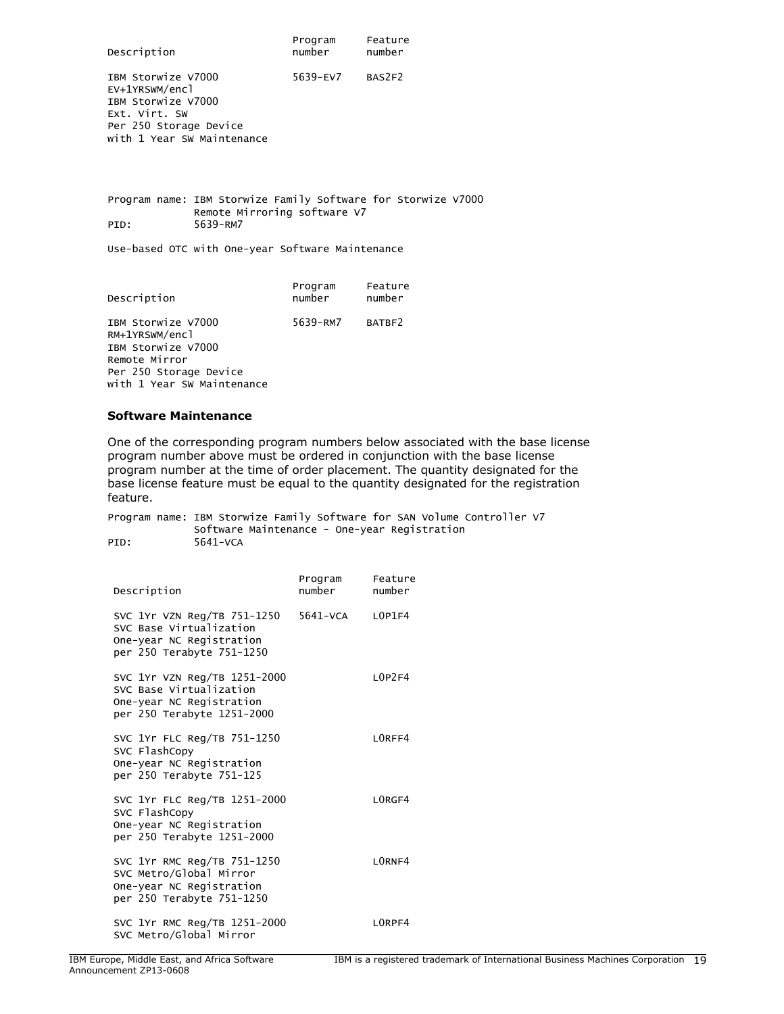| Description                                                                                                                         | Program<br>number | Feature<br>number |
|-------------------------------------------------------------------------------------------------------------------------------------|-------------------|-------------------|
| IBM Storwize V7000<br>EV+1YRSWM/encl<br>IBM Storwize V7000<br>Ext. Virt. SW<br>Per 250 Storage Device<br>with 1 Year SW Maintenance | 5639-EV7          | BAS2F2            |

Program name: IBM Storwize Family Software for Storwize V7000 Remote Mirroring software V7<br>PID: 5639-RM7 5639-RM7

Use-based OTC with One-year Software Maintenance

| Description                                                           | Program<br>number | Feature<br>number |
|-----------------------------------------------------------------------|-------------------|-------------------|
| IBM Storwize V7000<br>RM+1YRSWM/encl<br>IBM Storwize V7000            | 5639-RM7          | BATBF2            |
| Remote Mirror<br>Per 250 Storage Device<br>with 1 Year SW Maintenance |                   |                   |

#### **Software Maintenance**

One of the corresponding program numbers below associated with the base license program number above must be ordered in conjunction with the base license program number at the time of order placement. The quantity designated for the base license feature must be equal to the quantity designated for the registration feature.

Program name: IBM Storwize Family Software for SAN Volume Controller V7 Software Maintenance - One-year Registration<br>PID: 5641-VCA 5641-VCA

| Description                                                                                                       | Program<br>number | Feature<br>number     |
|-------------------------------------------------------------------------------------------------------------------|-------------------|-----------------------|
| SVC 1Yr VZN Reg/TB 751-1250<br>SVC Base Virtualization<br>One-year NC Registration<br>per 250 Terabyte 751-1250   | $5641 - VCA$      | 10P1F4                |
| SVC 1Yr VZN Reg/TB 1251-2000<br>SVC Base Virtualization<br>One-year NC Registration<br>per 250 Terabyte 1251-2000 |                   | $10P$ <sup>2</sup> F4 |
| SVC 1Yr FLC Reg/TB 751-1250<br>SVC FlashCopy<br>One-year NC Registration<br>per 250 Terabyte 751-125              |                   | LORFF4                |
| SVC 1Yr FLC Reg/TB 1251-2000<br>SVC FlashCopy<br>One-year NC Registration<br>per 250 Terabyte 1251-2000           |                   | LORGF4                |
| SVC 1Yr RMC Reg/TB 751-1250<br>SVC Metro/Global Mirror<br>One-year NC Registration<br>per 250 Terabyte 751-1250   |                   | I ORNE4               |
| SVC 1Yr RMC Reg/TB 1251-2000<br>SVC Metro/Global Mirror                                                           |                   | I ORPF4               |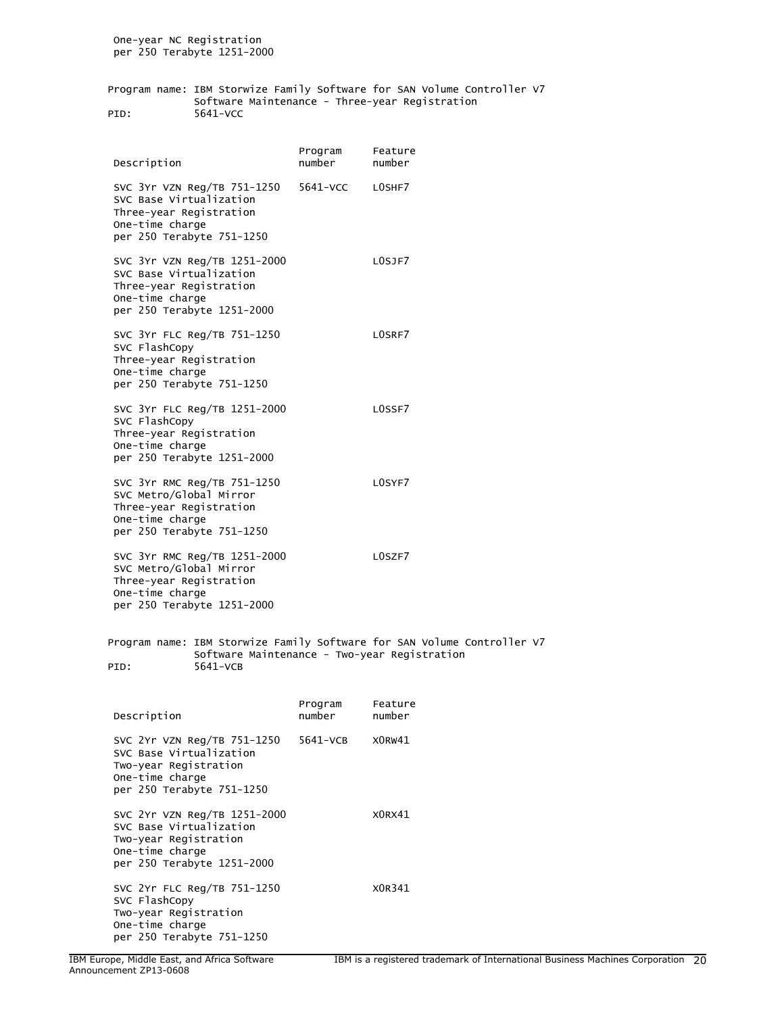One-year NC Registration per 250 Terabyte 1251-2000

Program name: IBM Storwize Family Software for SAN Volume Controller V7 Software Maintenance - Three-year Registration PID: 5641-VCC

 Program Feature Description **number** number number SVC 3Yr VZN Reg/TB 751-1250 5641-VCC L0SHF7 SVC Base Virtualization Three-year Registration One-time charge per 250 Terabyte 751-1250 SVC 3Yr VZN Reg/TB 1251-2000 L0SJF7 SVC Base Virtualization Three-year Registration One-time charge per 250 Terabyte 1251-2000 SVC 3Yr FLC Reg/TB 751-1250 L0SRF7 SVC FlashCopy Three-year Registration One-time charge per 250 Terabyte 751-1250 SVC 3Yr FLC Reg/TB 1251-2000 LOSSF7 SVC FlashCopy Three-year Registration One-time charge per 250 Terabyte 1251-2000 SVC 3Yr RMC Reg/TB 751-1250 LOSYF7 SVC Metro/Global Mirror Three-year Registration One-time charge per 250 Terabyte 751-1250 SVC 3Yr RMC Reg/TB 1251-2000 LOSZF7 SVC Metro/Global Mirror Three-year Registration One-time charge per 250 Terabyte 1251-2000 Program name: IBM Storwize Family Software for SAN Volume Controller V7 Software Maintenance - Two-year Registration PID: 5641-VCB Program Feature Description **number** number number SVC 2Yr VZN Reg/TB 751-1250 5641-VCB X0RW41 SVC Base Virtualization Two-year Registration One-time charge per 250 Terabyte 751-1250 SVC 2Yr VZN Reg/TB 1251-2000 X0RX41 SVC Base Virtualization Two-year Registration One-time charge per 250 Terabyte 1251-2000 SVC 2Yr FLC Reg/TB 751-1250 X0R341 SVC FlashCopy Two-year Registration One-time charge

per 250 Terabyte 751-1250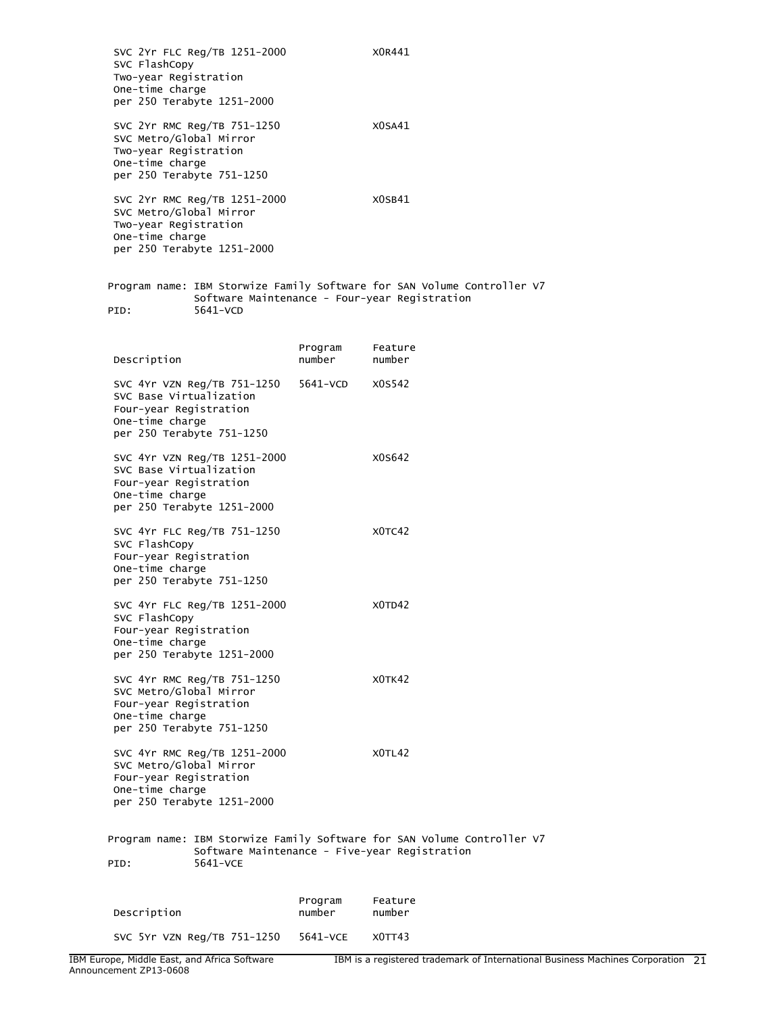SVC 2Yr FLC Reg/TB 1251-2000 X0R441 SVC FlashCopy Two-year Registration One-time charge per 250 Terabyte 1251-2000 SVC 2Yr RMC Reg/TB 751-1250 X0SA41 SVC Metro/Global Mirror Two-year Registration One-time charge per 250 Terabyte 751-1250 SVC 2Yr RMC Reg/TB 1251-2000 X0SB41 SVC Metro/Global Mirror Two-year Registration One-time charge per 250 Terabyte 1251-2000 Program name: IBM Storwize Family Software for SAN Volume Controller V7 Software Maintenance - Four-year Registration PID: 5641-VCD Program Feature Description SVC 4Yr VZN Reg/TB 751-1250 5641-VCD X0S542 SVC Base Virtualization Four-year Registration One-time charge per 250 Terabyte 751-1250 SVC 4Yr VZN Reg/TB 1251-2000 X0S642 SVC Base Virtualization Four-year Registration One-time charge per 250 Terabyte 1251-2000 SVC 4Yr FLC Reg/TB 751-1250 X0TC42 SVC FlashCopy Four-year Registration One-time charge per 250 Terabyte 751-1250 SVC 4Yr FLC Reg/TB 1251-2000 X0TD42 SVC FlashCopy Four-year Registration One-time charge per 250 Terabyte 1251-2000 SVC 4Yr RMC Reg/TB 751-1250 X0TK42 SVC Metro/Global Mirror Four-year Registration One-time charge per 250 Terabyte 751-1250 SVC 4Yr RMC Reg/TB 1251-2000 X0TL42 SVC Metro/Global Mirror Four-year Registration One-time charge per 250 Terabyte 1251-2000 Program name: IBM Storwize Family Software for SAN Volume Controller V7 Software Maintenance - Five-year Registration PID: 5641-VCE Program Feature Description **number** number number SVC 5Yr VZN Reg/TB 751-1250 5641-VCE X0TT43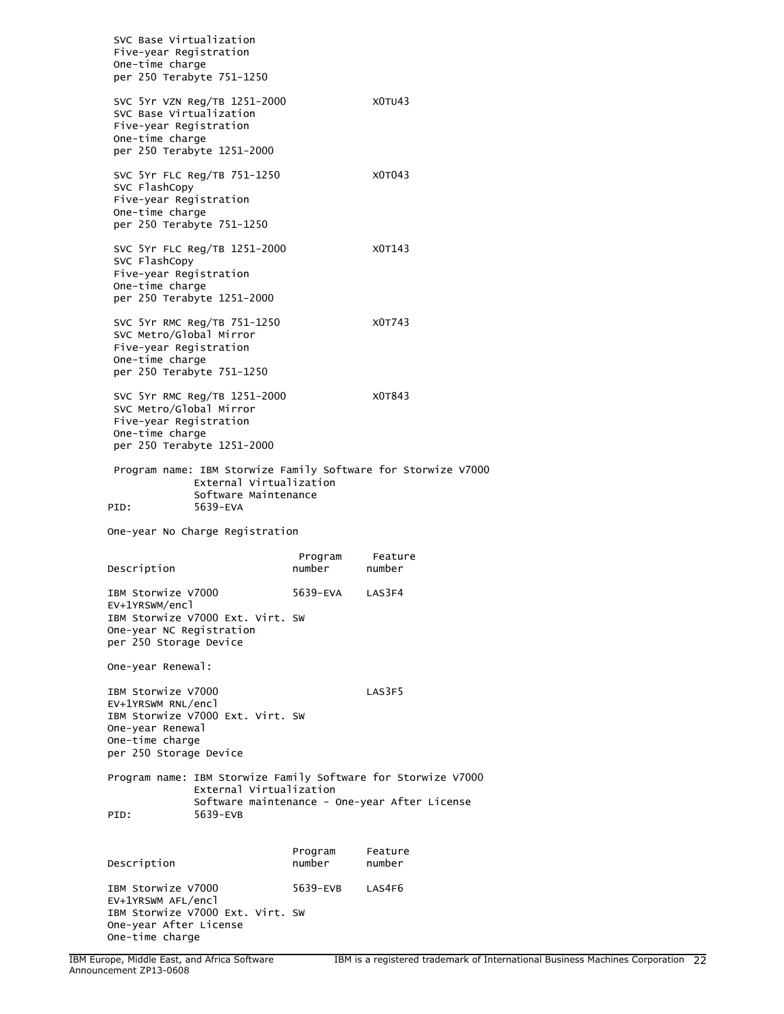SVC Base Virtualization Five-year Registration One-time charge per 250 Terabyte 751-1250 SVC 5Yr VZN Reg/TB 1251-2000 X0TU43 SVC Base Virtualization Five-year Registration One-time charge per 250 Terabyte 1251-2000 SVC 5Yr FLC Reg/TB 751-1250 X0T043 SVC FlashCopy Five-year Registration One-time charge per 250 Terabyte 751-1250 SVC 5Yr FLC Reg/TB 1251-2000 X0T143 SVC FlashCopy Five-year Registration One-time charge per 250 Terabyte 1251-2000 SVC 5Yr RMC Reg/TB 751-1250 X0T743 SVC Metro/Global Mirror Five-year Registration One-time charge per 250 Terabyte 751-1250 SVC 5Yr RMC Reg/TB 1251-2000 X0T843 SVC Metro/Global Mirror Five-year Registration One-time charge per 250 Terabyte 1251-2000 Program name: IBM Storwize Family Software for Storwize V7000 External Virtualization Software Maintenance<br>PID: 5639-EVA 5639-EVA One-year No Charge Registration Program Feature<br>number number Description IBM Storwize V7000 5639-EVA LAS3F4 EV+1YRSWM/encl IBM Storwize V7000 Ext. Virt. SW One-year NC Registration per 250 Storage Device One-year Renewal: IBM Storwize V7000 LAS3F5 EV+1YRSWM RNL/encl IBM Storwize V7000 Ext. Virt. SW One-year Renewal One-time charge per 250 Storage Device Program name: IBM Storwize Family Software for Storwize V7000 External Virtualization Software maintenance - One-year After License PID: 5639-EVB Program Feature Description **number** number number IBM Storwize V7000 5639-EVB LAS4F6 EV+1YRSWM AFL/encl IBM Storwize V7000 Ext. Virt. SW One-year After License

One-time charge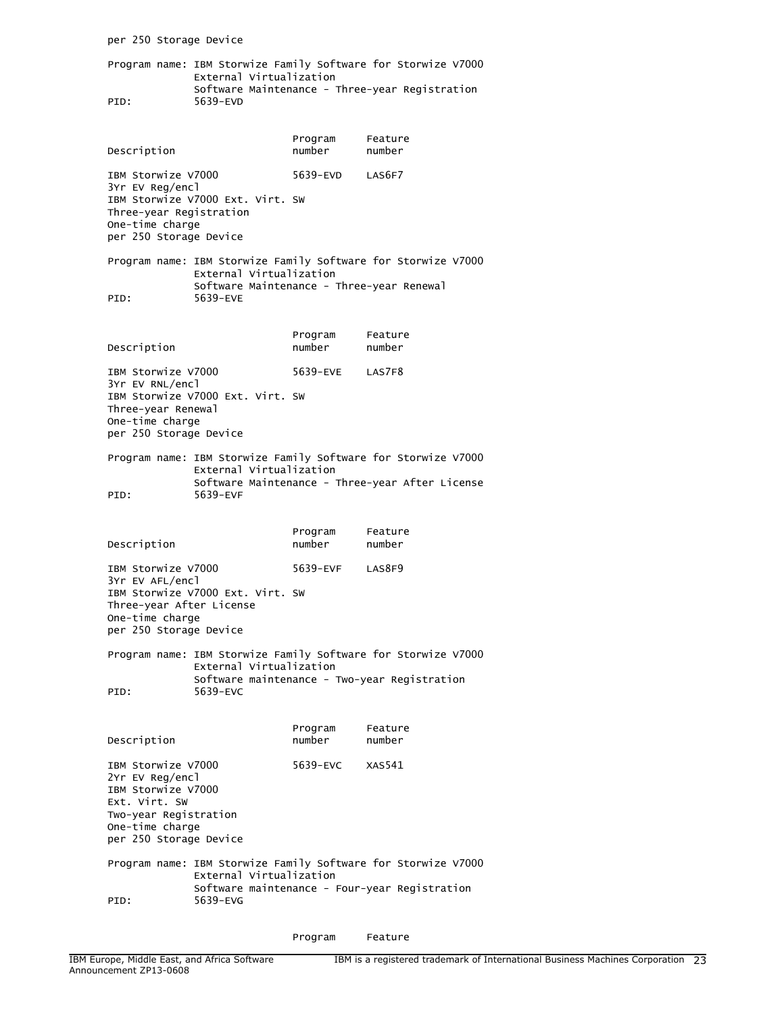per 250 Storage Device Program name: IBM Storwize Family Software for Storwize V7000 External Virtualization Software Maintenance - Three-year Registration PID: 5639-EVD Program Feature Description **number** number number IBM Storwize V7000 5639-EVD LAS6F7 3Yr EV Reg/encl IBM Storwize V7000 Ext. Virt. SW Three-year Registration One-time charge per 250 Storage Device Program name: IBM Storwize Family Software for Storwize V7000 External Virtualization Software Maintenance - Three-year Renewal<br>PID: 5639-EVE 5639-EVE Program Feature Description **number** number number IBM Storwize V7000 5639-EVE LAS7F8 3Yr EV RNL/encl IBM Storwize V7000 Ext. Virt. SW Three-year Renewal One-time charge per 250 Storage Device Program name: IBM Storwize Family Software for Storwize V7000 External Virtualization Software Maintenance - Three-year After License<br>PID: 5639-EVF 5639-EVF Program Feature Description **number** number number IBM Storwize V7000 5639-EVF LAS8F9 3Yr EV AFL/encl IBM Storwize V7000 Ext. Virt. SW Three-year After License One-time charge per 250 Storage Device Program name: IBM Storwize Family Software for Storwize V7000 External Virtualization Software maintenance - Two-year Registration PID: 5639-EVC Program Feature Description number number number IBM Storwize V7000 5639-EVC XAS541 2Yr EV Reg/encl IBM Storwize V7000 Ext. Virt. SW Two-year Registration One-time charge per 250 Storage Device Program name: IBM Storwize Family Software for Storwize V7000 External Virtualization Software maintenance - Four-year Registration<br>FID: 5639-EVG 5639-EVG

Program Feature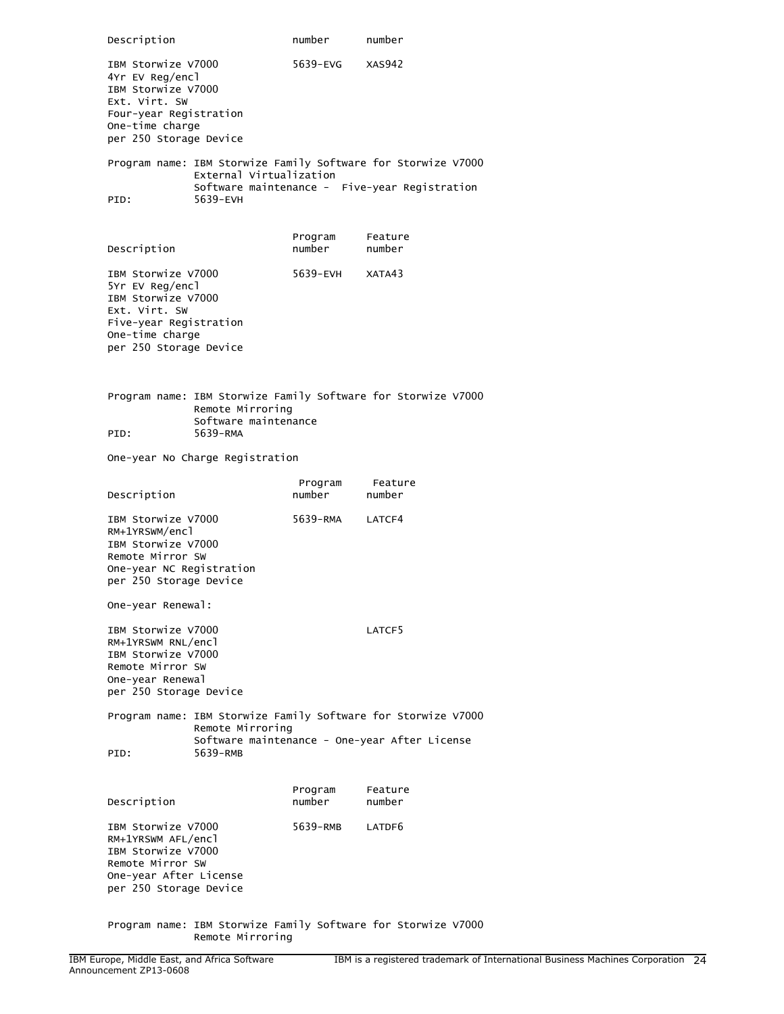Description **number** number number IBM Storwize V7000 5639-EVG XAS942 4Yr EV Reg/encl IBM Storwize V7000 Ext. Virt. SW Four-year Registration One-time charge per 250 Storage Device Program name: IBM Storwize Family Software for Storwize V7000 External Virtualization Software maintenance - Five-year Registration<br>PID: 5639-EVH 5639-EVH Program Feature Description **number** number number IBM Storwize V7000 5639-EVH XATA43 5Yr EV Reg/encl IBM Storwize V7000 Ext. Virt. SW Five-year Registration One-time charge per 250 Storage Device Program name: IBM Storwize Family Software for Storwize V7000 Remote Mirroring Software maintenance PID: 5639-RMA One-year No Charge Registration Program Feature Description number number number IBM Storwize V7000 5639-RMA LATCF4 RM+1YRSWM/encl IBM Storwize V7000 Remote Mirror SW One-year NC Registration per 250 Storage Device One-year Renewal: IBM Storwize V7000 CATCF5 RM+1YRSWM RNL/encl IBM Storwize V7000 Remote Mirror SW One-year Renewal per 250 Storage Device Program name: IBM Storwize Family Software for Storwize V7000 Remote Mirroring Software maintenance - One-year After License PID: 5639-RMB Program Feature Description IBM Storwize V7000 5639-RMB LATDF6 RM+1YRSWM AFL/encl IBM Storwize V7000 Remote Mirror SW One-year After License per 250 Storage Device

Program name: IBM Storwize Family Software for Storwize V7000 Remote Mirroring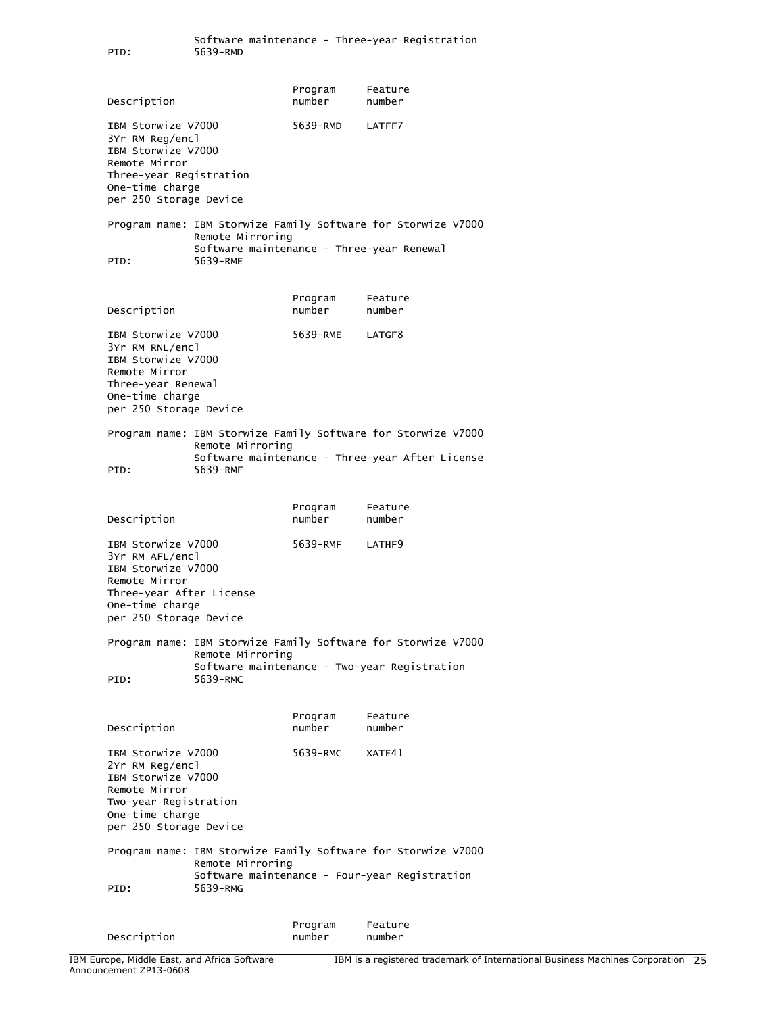Program Feature Description **number** number number IBM Storwize V7000 5639-RMD LATFF7 3Yr RM Reg/encl IBM Storwize V7000 Remote Mirror Three-year Registration One-time charge per 250 Storage Device Program name: IBM Storwize Family Software for Storwize V7000 Remote Mirroring Software maintenance - Three-year Renewal<br>PID: 5639-RME 5639-RME Program Feature Description **number** number number IBM Storwize V7000 5639-RME LATGF8 3Yr RM RNL/encl IBM Storwize V7000 Remote Mirror Three-year Renewal One-time charge per 250 Storage Device Program name: IBM Storwize Family Software for Storwize V7000 Remote Mirroring Software maintenance - Three-year After License PID: 5639-RMF Program Feature Description **number** number number IBM Storwize V7000 5639-RMF LATHF9 3Yr RM AFL/encl IBM Storwize V7000 Remote Mirror Three-year After License One-time charge per 250 Storage Device Program name: IBM Storwize Family Software for Storwize V7000 Remote Mirroring Software maintenance - Two-year Registration PID: 5639-RMC Program Feature Description **number** number number IBM Storwize V7000 5639-RMC XATE41 2Yr RM Reg/encl IBM Storwize V7000 Remote Mirror Two-year Registration One-time charge per 250 Storage Device Program name: IBM Storwize Family Software for Storwize V7000 Remote Mirroring Software maintenance - Four-year Registration PID: 5639-RMG Program Feature

Description **number** number number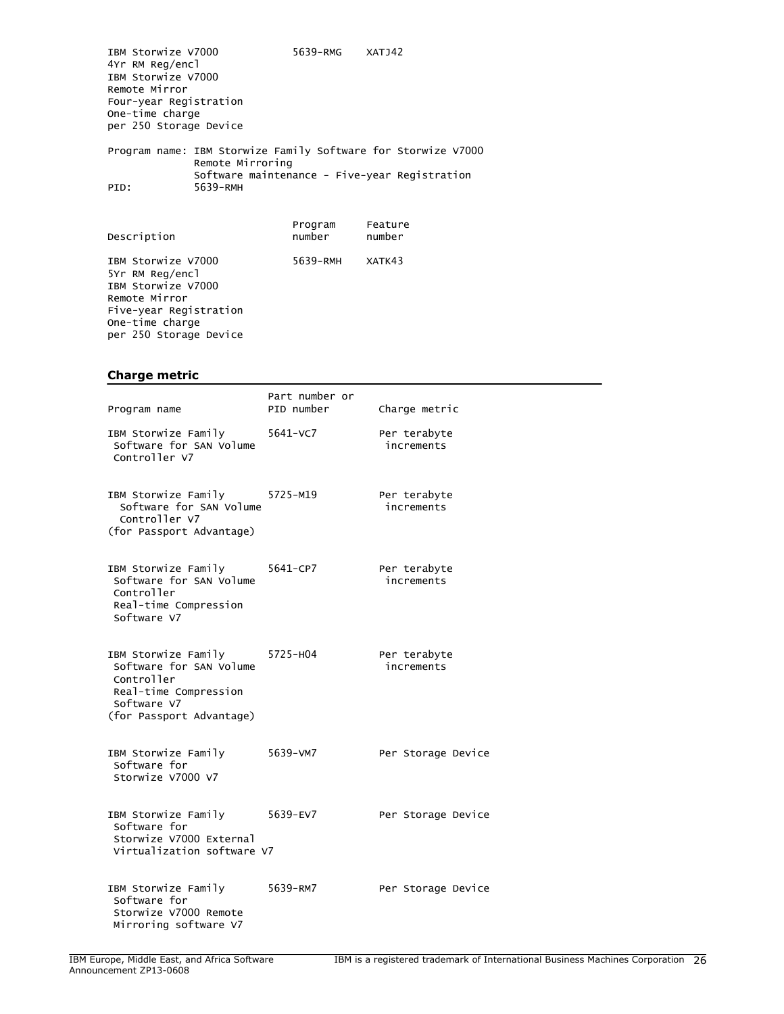IBM Storwize V7000 5639-RMG XATJ42 4Yr RM Reg/encl IBM Storwize V7000 Remote Mirror Four-year Registration One-time charge per 250 Storage Device Program name: IBM Storwize Family Software for Storwize V7000 Remote Mirroring Software maintenance - Five-year Registration<br>PID: 5639-RMH 5639-RMH

| Description                                                                                                                                         | Program<br>number | Feature<br>number |
|-----------------------------------------------------------------------------------------------------------------------------------------------------|-------------------|-------------------|
| IBM Storwize V7000<br>5Yr RM Reg/encl<br>IBM Storwize V7000<br>Remote Mirror<br>Five-year Registration<br>One-time charge<br>per 250 Storage Device | 5639-RMH XATK43   |                   |

#### **Charge metric**

| Program name                                                                                                                              | Part number or<br>PID number | Charge metric              |
|-------------------------------------------------------------------------------------------------------------------------------------------|------------------------------|----------------------------|
| IBM Storwize Family<br>Software for SAN Volume<br>Controller V7                                                                           | 5641-VC7                     | Per terabyte<br>increments |
| IBM Storwize Family 5725-M19<br>Software for SAN Volume<br>Controller V7<br>(for Passport Advantage)                                      |                              | Per terabyte<br>increments |
| IBM Storwize Family<br>Software for SAN Volume<br>Controller<br>Real-time Compression<br>Software V7                                      | 5641-CP7                     | Per terabyte<br>increments |
| IBM Storwize Family 5725-H04<br>Software for SAN Volume<br>Controller<br>Real-time Compression<br>Software V7<br>(for Passport Advantage) |                              | Per terabyte<br>increments |
| IBM Storwize Family<br>Software for<br>Storwize V7000 V7                                                                                  | 5639-VM7                     | Per Storage Device         |
| IBM Storwize Family<br>Software for<br>Storwize V7000 External<br>Virtualization software V7                                              | 5639-EV7                     | Per Storage Device         |
| IBM Storwize Family<br>Software for<br>Storwize V7000 Remote<br>Mirroring software V7                                                     | 5639-RM7                     | Per Storage Device         |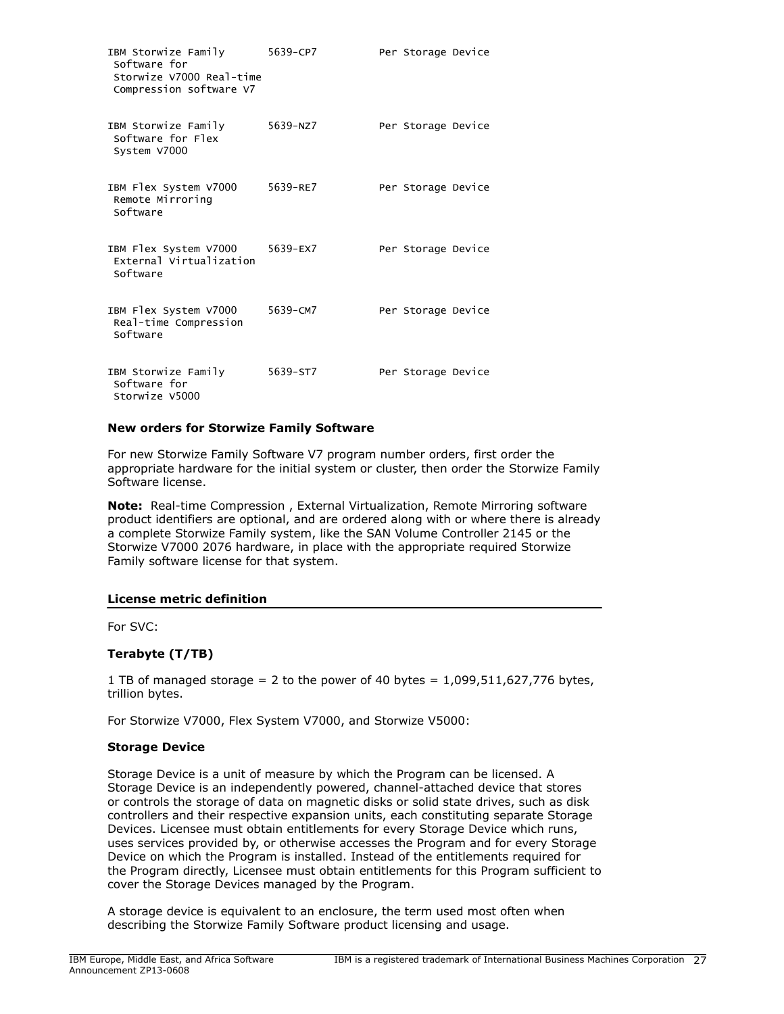| IBM Storwize Family<br>Software for<br>Storwize V7000 Real-time<br>Compression software V7 | 5639-CP7 | Per Storage Device |  |
|--------------------------------------------------------------------------------------------|----------|--------------------|--|
| IBM Storwize Family<br>Software for Flex<br>System V7000                                   | 5639-NZ7 | Per Storage Device |  |
| IBM Flex System V7000<br>Remote Mirroring<br>Software                                      | 5639-RE7 | Per Storage Device |  |
| IBM Flex System V7000<br>External Virtualization<br>Software                               | 5639-EX7 | Per Storage Device |  |
| IBM Flex System V7000<br>Real-time Compression<br>Software                                 | 5639-CM7 | Per Storage Device |  |
| IBM Storwize Family<br>Software for<br>Storwize V5000                                      | 5639-ST7 | Per Storage Device |  |

#### **New orders for Storwize Family Software**

For new Storwize Family Software V7 program number orders, first order the appropriate hardware for the initial system or cluster, then order the Storwize Family Software license.

**Note:** Real-time Compression , External Virtualization, Remote Mirroring software product identifiers are optional, and are ordered along with or where there is already a complete Storwize Family system, like the SAN Volume Controller 2145 or the Storwize V7000 2076 hardware, in place with the appropriate required Storwize Family software license for that system.

## **License metric definition**

For SVC:

## **Terabyte (T/TB)**

1 TB of managed storage = 2 to the power of 40 bytes =  $1,099,511,627,776$  bytes, trillion bytes.

For Storwize V7000, Flex System V7000, and Storwize V5000:

#### **Storage Device**

Storage Device is a unit of measure by which the Program can be licensed. A Storage Device is an independently powered, channel-attached device that stores or controls the storage of data on magnetic disks or solid state drives, such as disk controllers and their respective expansion units, each constituting separate Storage Devices. Licensee must obtain entitlements for every Storage Device which runs, uses services provided by, or otherwise accesses the Program and for every Storage Device on which the Program is installed. Instead of the entitlements required for the Program directly, Licensee must obtain entitlements for this Program sufficient to cover the Storage Devices managed by the Program.

A storage device is equivalent to an enclosure, the term used most often when describing the Storwize Family Software product licensing and usage.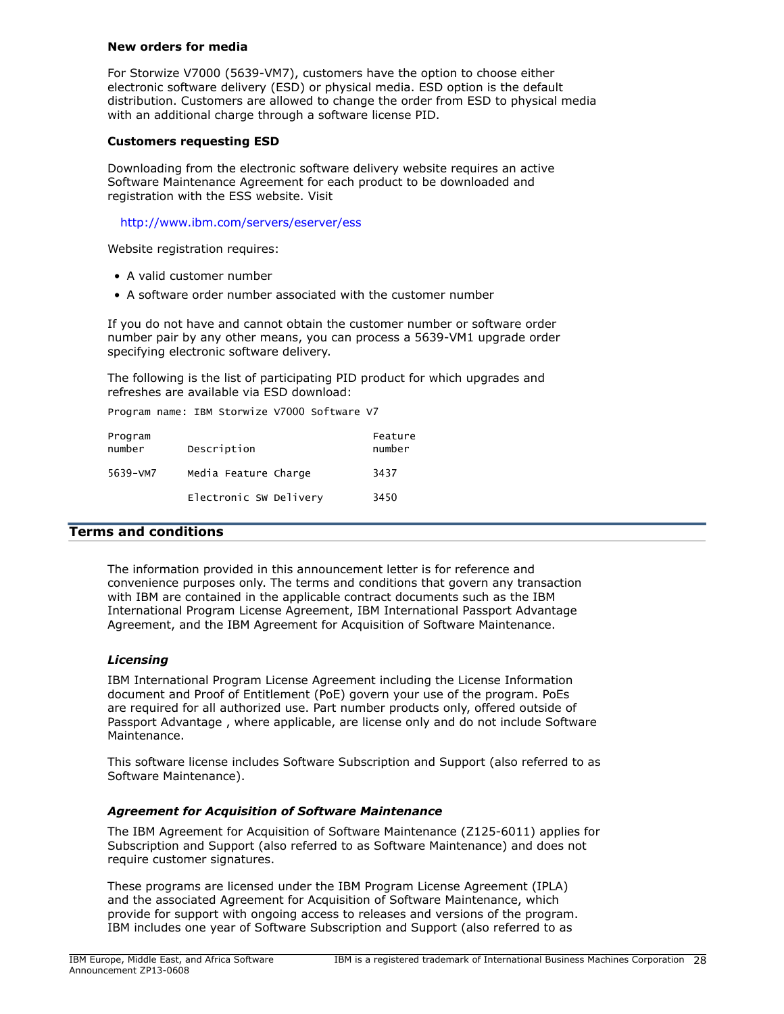#### **New orders for media**

For Storwize V7000 (5639-VM7), customers have the option to choose either electronic software delivery (ESD) or physical media. ESD option is the default distribution. Customers are allowed to change the order from ESD to physical media with an additional charge through a software license PID.

## **Customers requesting ESD**

Downloading from the electronic software delivery website requires an active Software Maintenance Agreement for each product to be downloaded and registration with the ESS website. Visit

## <http://www.ibm.com/servers/eserver/ess>

Website registration requires:

- A valid customer number
- A software order number associated with the customer number

If you do not have and cannot obtain the customer number or software order number pair by any other means, you can process a 5639-VM1 upgrade order specifying electronic software delivery.

The following is the list of participating PID product for which upgrades and refreshes are available via ESD download:

Program name: IBM Storwize V7000 Software V7

| Program<br>number | Description            | Feature<br>number |
|-------------------|------------------------|-------------------|
| 5639-VM7          | Media Feature Charge   | 3437              |
|                   | Electronic SW Delivery | 3450              |

## <span id="page-27-0"></span>**Terms and conditions**

The information provided in this announcement letter is for reference and convenience purposes only. The terms and conditions that govern any transaction with IBM are contained in the applicable contract documents such as the IBM International Program License Agreement, IBM International Passport Advantage Agreement, and the IBM Agreement for Acquisition of Software Maintenance.

#### *Licensing*

IBM International Program License Agreement including the License Information document and Proof of Entitlement (PoE) govern your use of the program. PoEs are required for all authorized use. Part number products only, offered outside of Passport Advantage , where applicable, are license only and do not include Software Maintenance.

This software license includes Software Subscription and Support (also referred to as Software Maintenance).

## *Agreement for Acquisition of Software Maintenance*

The IBM Agreement for Acquisition of Software Maintenance (Z125-6011) applies for Subscription and Support (also referred to as Software Maintenance) and does not require customer signatures.

These programs are licensed under the IBM Program License Agreement (IPLA) and the associated Agreement for Acquisition of Software Maintenance, which provide for support with ongoing access to releases and versions of the program. IBM includes one year of Software Subscription and Support (also referred to as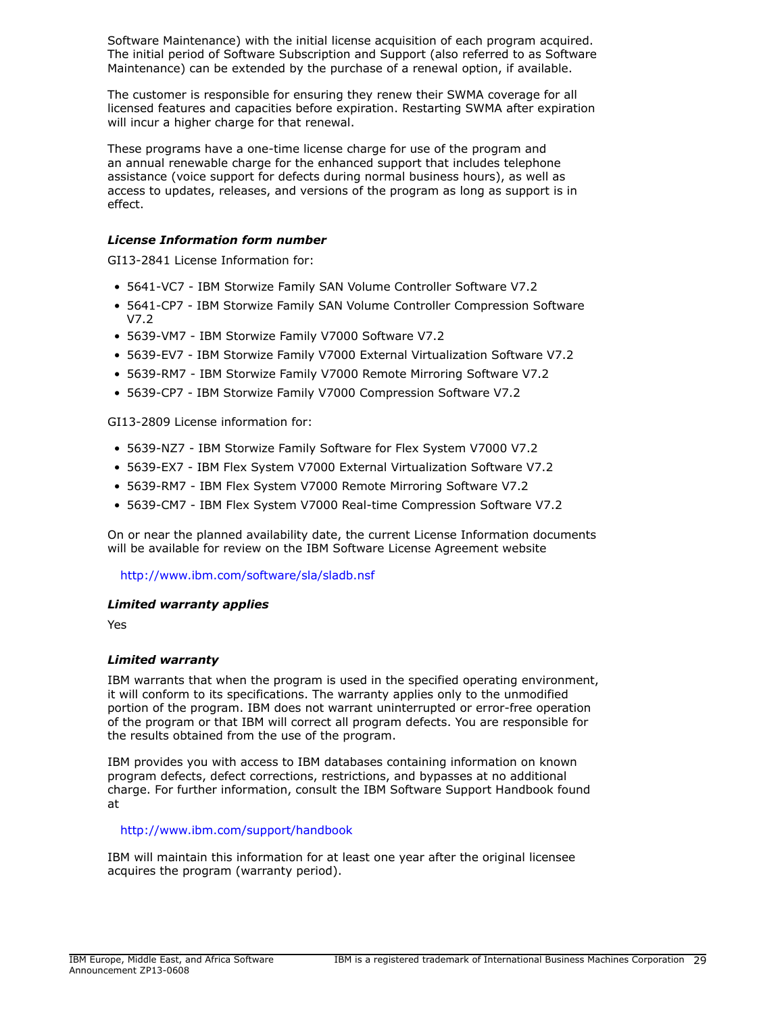Software Maintenance) with the initial license acquisition of each program acquired. The initial period of Software Subscription and Support (also referred to as Software Maintenance) can be extended by the purchase of a renewal option, if available.

The customer is responsible for ensuring they renew their SWMA coverage for all licensed features and capacities before expiration. Restarting SWMA after expiration will incur a higher charge for that renewal.

These programs have a one-time license charge for use of the program and an annual renewable charge for the enhanced support that includes telephone assistance (voice support for defects during normal business hours), as well as access to updates, releases, and versions of the program as long as support is in effect.

# *License Information form number*

GI13-2841 License Information for:

- 5641-VC7 IBM Storwize Family SAN Volume Controller Software V7.2
- 5641-CP7 IBM Storwize Family SAN Volume Controller Compression Software V7.2
- 5639-VM7 IBM Storwize Family V7000 Software V7.2
- 5639-EV7 IBM Storwize Family V7000 External Virtualization Software V7.2
- 5639-RM7 IBM Storwize Family V7000 Remote Mirroring Software V7.2
- 5639-CP7 IBM Storwize Family V7000 Compression Software V7.2

GI13-2809 License information for:

- 5639-NZ7 IBM Storwize Family Software for Flex System V7000 V7.2
- 5639-EX7 IBM Flex System V7000 External Virtualization Software V7.2
- 5639-RM7 IBM Flex System V7000 Remote Mirroring Software V7.2
- 5639-CM7 IBM Flex System V7000 Real-time Compression Software V7.2

On or near the planned availability date, the current License Information documents will be available for review on the IBM Software License Agreement website

<http://www.ibm.com/software/sla/sladb.nsf>

## *Limited warranty applies*

Yes

## *Limited warranty*

IBM warrants that when the program is used in the specified operating environment, it will conform to its specifications. The warranty applies only to the unmodified portion of the program. IBM does not warrant uninterrupted or error-free operation of the program or that IBM will correct all program defects. You are responsible for the results obtained from the use of the program.

IBM provides you with access to IBM databases containing information on known program defects, defect corrections, restrictions, and bypasses at no additional charge. For further information, consult the IBM Software Support Handbook found at

## <http://www.ibm.com/support/handbook>

IBM will maintain this information for at least one year after the original licensee acquires the program (warranty period).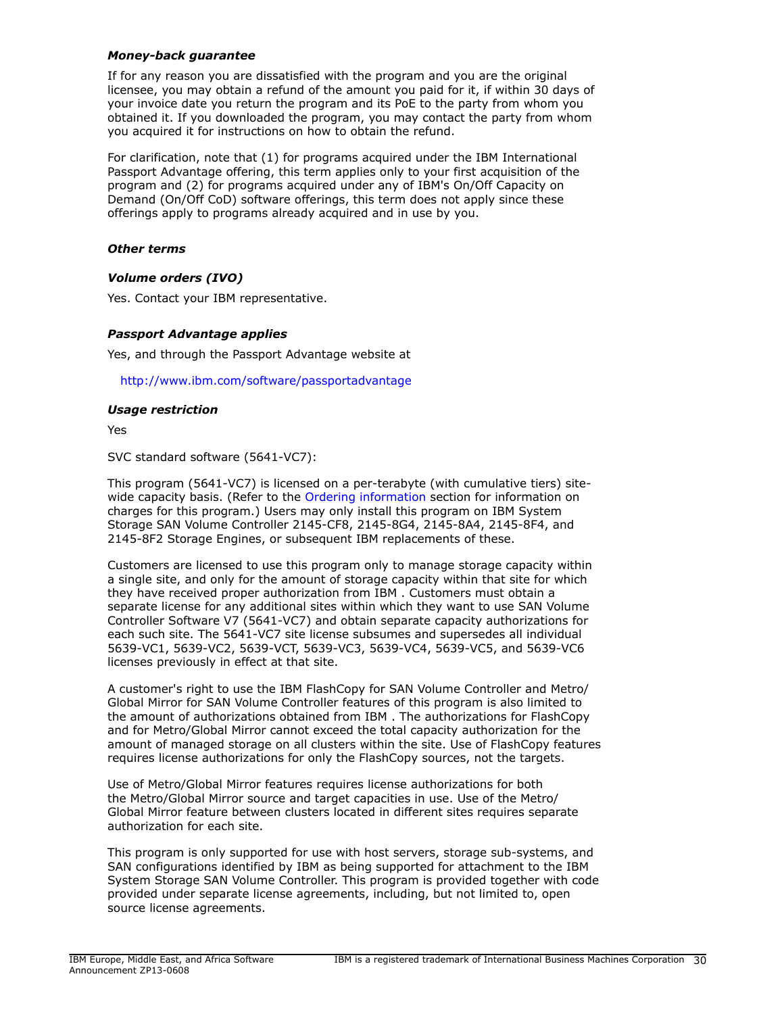## *Money-back guarantee*

If for any reason you are dissatisfied with the program and you are the original licensee, you may obtain a refund of the amount you paid for it, if within 30 days of your invoice date you return the program and its PoE to the party from whom you obtained it. If you downloaded the program, you may contact the party from whom you acquired it for instructions on how to obtain the refund.

For clarification, note that (1) for programs acquired under the IBM International Passport Advantage offering, this term applies only to your first acquisition of the program and (2) for programs acquired under any of IBM's On/Off Capacity on Demand (On/Off CoD) software offerings, this term does not apply since these offerings apply to programs already acquired and in use by you.

## *Other terms*

## *Volume orders (IVO)*

Yes. Contact your IBM representative.

## *Passport Advantage applies*

Yes, and through the Passport Advantage website at

<http://www.ibm.com/software/passportadvantage>

## *Usage restriction*

Yes

SVC standard software (5641-VC7):

This program (5641-VC7) is licensed on a per-terabyte (with cumulative tiers) sitewide capacity basis. (Refer to the [Ordering information](#page-16-0) section for information on charges for this program.) Users may only install this program on IBM System Storage SAN Volume Controller 2145-CF8, 2145-8G4, 2145-8A4, 2145-8F4, and 2145-8F2 Storage Engines, or subsequent IBM replacements of these.

Customers are licensed to use this program only to manage storage capacity within a single site, and only for the amount of storage capacity within that site for which they have received proper authorization from IBM . Customers must obtain a separate license for any additional sites within which they want to use SAN Volume Controller Software V7 (5641-VC7) and obtain separate capacity authorizations for each such site. The 5641-VC7 site license subsumes and supersedes all individual 5639-VC1, 5639-VC2, 5639-VCT, 5639-VC3, 5639-VC4, 5639-VC5, and 5639-VC6 licenses previously in effect at that site.

A customer's right to use the IBM FlashCopy for SAN Volume Controller and Metro/ Global Mirror for SAN Volume Controller features of this program is also limited to the amount of authorizations obtained from IBM . The authorizations for FlashCopy and for Metro/Global Mirror cannot exceed the total capacity authorization for the amount of managed storage on all clusters within the site. Use of FlashCopy features requires license authorizations for only the FlashCopy sources, not the targets.

Use of Metro/Global Mirror features requires license authorizations for both the Metro/Global Mirror source and target capacities in use. Use of the Metro/ Global Mirror feature between clusters located in different sites requires separate authorization for each site.

This program is only supported for use with host servers, storage sub-systems, and SAN configurations identified by IBM as being supported for attachment to the IBM System Storage SAN Volume Controller. This program is provided together with code provided under separate license agreements, including, but not limited to, open source license agreements.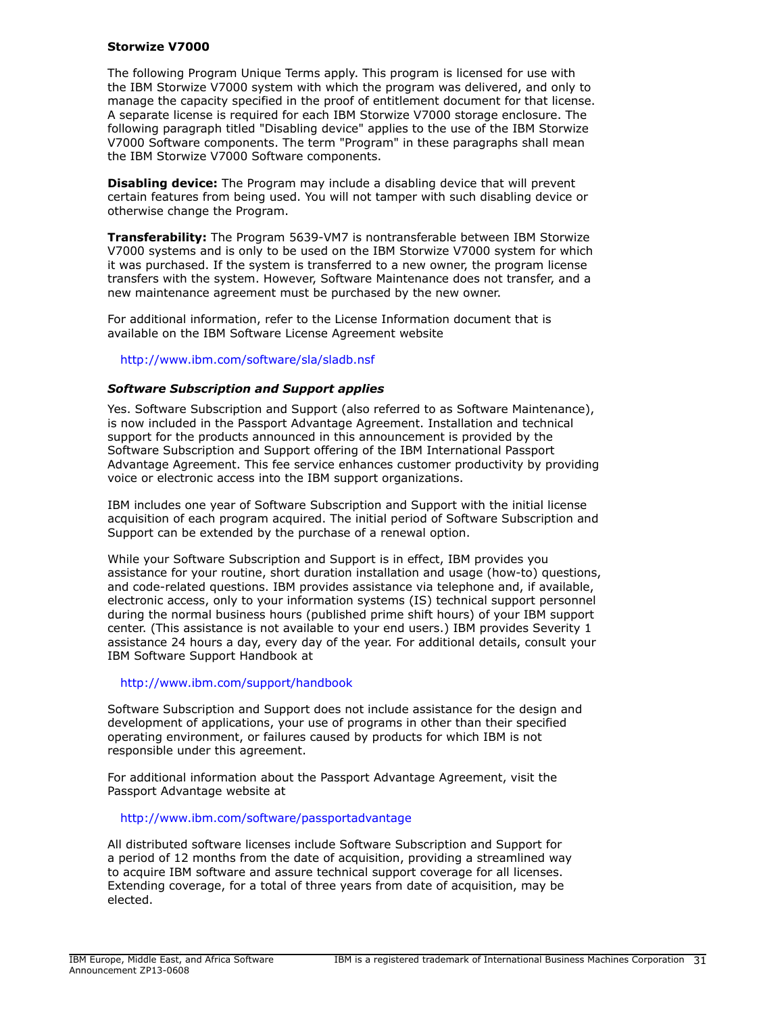#### **Storwize V7000**

The following Program Unique Terms apply. This program is licensed for use with the IBM Storwize V7000 system with which the program was delivered, and only to manage the capacity specified in the proof of entitlement document for that license. A separate license is required for each IBM Storwize V7000 storage enclosure. The following paragraph titled "Disabling device" applies to the use of the IBM Storwize V7000 Software components. The term "Program" in these paragraphs shall mean the IBM Storwize V7000 Software components.

**Disabling device:** The Program may include a disabling device that will prevent certain features from being used. You will not tamper with such disabling device or otherwise change the Program.

**Transferability:** The Program 5639-VM7 is nontransferable between IBM Storwize V7000 systems and is only to be used on the IBM Storwize V7000 system for which it was purchased. If the system is transferred to a new owner, the program license transfers with the system. However, Software Maintenance does not transfer, and a new maintenance agreement must be purchased by the new owner.

For additional information, refer to the License Information document that is available on the IBM Software License Agreement website

## <http://www.ibm.com/software/sla/sladb.nsf>

#### *Software Subscription and Support applies*

Yes. Software Subscription and Support (also referred to as Software Maintenance), is now included in the Passport Advantage Agreement. Installation and technical support for the products announced in this announcement is provided by the Software Subscription and Support offering of the IBM International Passport Advantage Agreement. This fee service enhances customer productivity by providing voice or electronic access into the IBM support organizations.

IBM includes one year of Software Subscription and Support with the initial license acquisition of each program acquired. The initial period of Software Subscription and Support can be extended by the purchase of a renewal option.

While your Software Subscription and Support is in effect, IBM provides you assistance for your routine, short duration installation and usage (how-to) questions, and code-related questions. IBM provides assistance via telephone and, if available, electronic access, only to your information systems (IS) technical support personnel during the normal business hours (published prime shift hours) of your IBM support center. (This assistance is not available to your end users.) IBM provides Severity 1 assistance 24 hours a day, every day of the year. For additional details, consult your IBM Software Support Handbook at

#### <http://www.ibm.com/support/handbook>

Software Subscription and Support does not include assistance for the design and development of applications, your use of programs in other than their specified operating environment, or failures caused by products for which IBM is not responsible under this agreement.

For additional information about the Passport Advantage Agreement, visit the Passport Advantage website at

<http://www.ibm.com/software/passportadvantage>

All distributed software licenses include Software Subscription and Support for a period of 12 months from the date of acquisition, providing a streamlined way to acquire IBM software and assure technical support coverage for all licenses. Extending coverage, for a total of three years from date of acquisition, may be elected.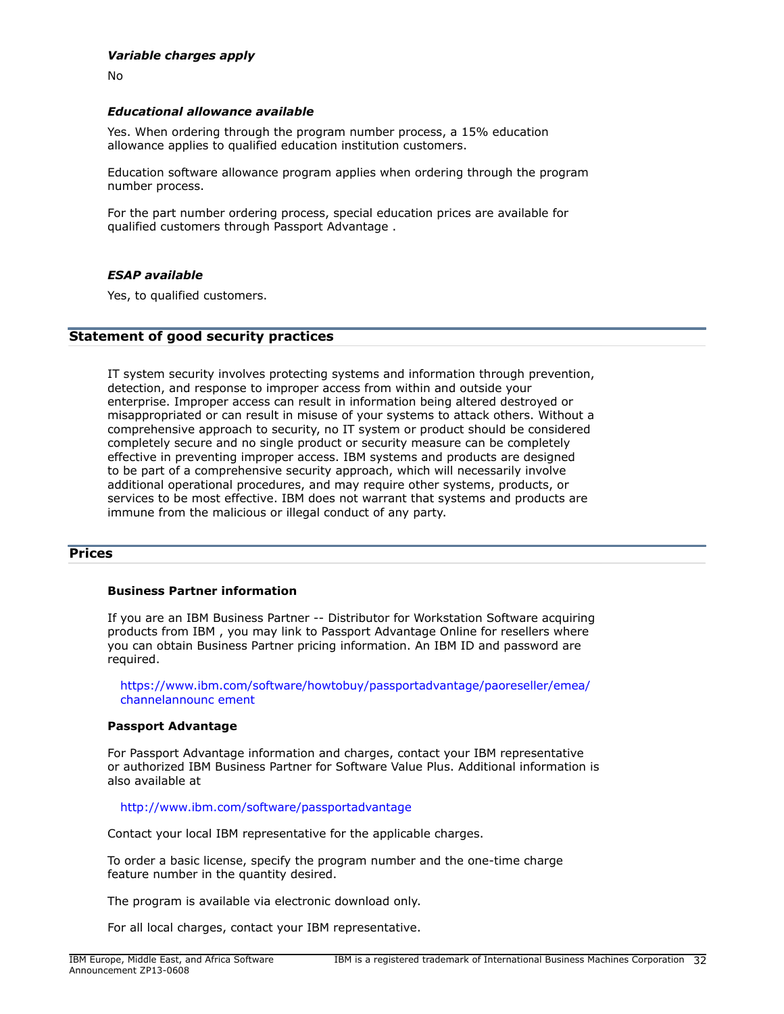## *Variable charges apply*

No

#### *Educational allowance available*

Yes. When ordering through the program number process, a 15% education allowance applies to qualified education institution customers.

Education software allowance program applies when ordering through the program number process.

For the part number ordering process, special education prices are available for qualified customers through Passport Advantage .

#### *ESAP available*

Yes, to qualified customers.

#### **Statement of good security practices**

IT system security involves protecting systems and information through prevention, detection, and response to improper access from within and outside your enterprise. Improper access can result in information being altered destroyed or misappropriated or can result in misuse of your systems to attack others. Without a comprehensive approach to security, no IT system or product should be considered completely secure and no single product or security measure can be completely effective in preventing improper access. IBM systems and products are designed to be part of a comprehensive security approach, which will necessarily involve additional operational procedures, and may require other systems, products, or services to be most effective. IBM does not warrant that systems and products are immune from the malicious or illegal conduct of any party.

#### <span id="page-31-0"></span>**Prices**

#### **Business Partner information**

If you are an IBM Business Partner -- Distributor for Workstation Software acquiring products from IBM , you may link to Passport Advantage Online for resellers where you can obtain Business Partner pricing information. An IBM ID and password are required.

[https://www.ibm.com/software/howtobuy/passportadvantage/paoreseller/emea/](https://www.ibm.com/software/howtobuy/passportadvantage/paoreseller/emea/channelannouncement) [channelannounc ement](https://www.ibm.com/software/howtobuy/passportadvantage/paoreseller/emea/channelannouncement)

#### **Passport Advantage**

For Passport Advantage information and charges, contact your IBM representative or authorized IBM Business Partner for Software Value Plus. Additional information is also available at

<http://www.ibm.com/software/passportadvantage>

Contact your local IBM representative for the applicable charges.

To order a basic license, specify the program number and the one-time charge feature number in the quantity desired.

The program is available via electronic download only.

For all local charges, contact your IBM representative.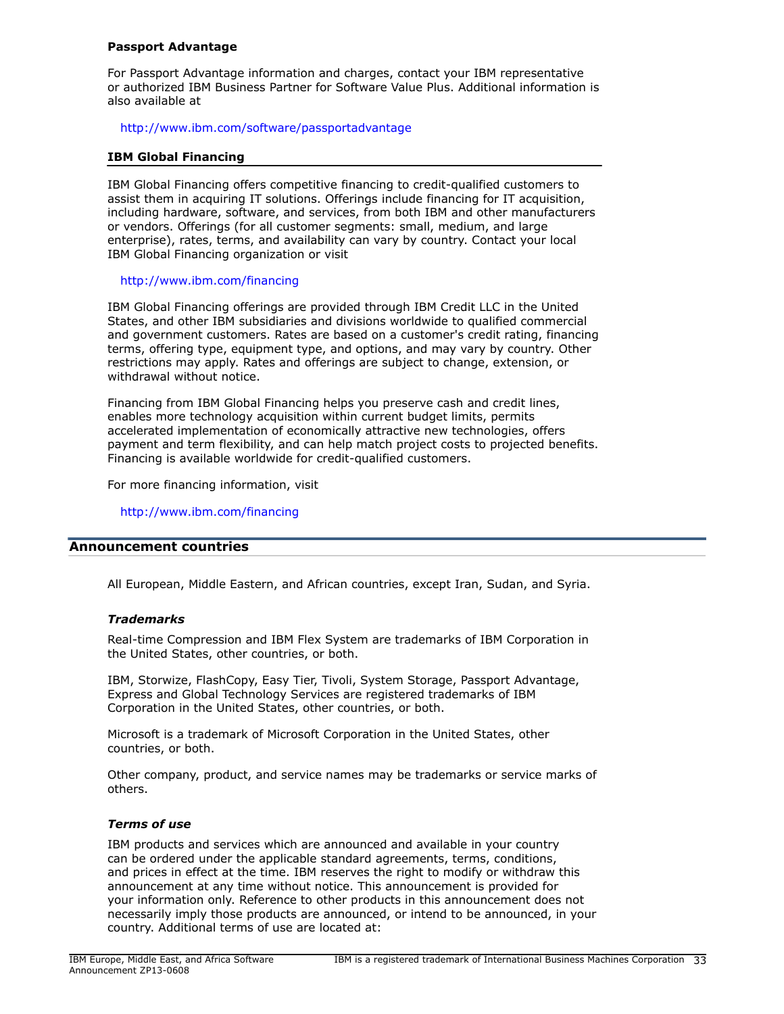#### **Passport Advantage**

For Passport Advantage information and charges, contact your IBM representative or authorized IBM Business Partner for Software Value Plus. Additional information is also available at

<http://www.ibm.com/software/passportadvantage>

#### **IBM Global Financing**

IBM Global Financing offers competitive financing to credit-qualified customers to assist them in acquiring IT solutions. Offerings include financing for IT acquisition, including hardware, software, and services, from both IBM and other manufacturers or vendors. Offerings (for all customer segments: small, medium, and large enterprise), rates, terms, and availability can vary by country. Contact your local IBM Global Financing organization or visit

## <http://www.ibm.com/financing>

IBM Global Financing offerings are provided through IBM Credit LLC in the United States, and other IBM subsidiaries and divisions worldwide to qualified commercial and government customers. Rates are based on a customer's credit rating, financing terms, offering type, equipment type, and options, and may vary by country. Other restrictions may apply. Rates and offerings are subject to change, extension, or withdrawal without notice.

Financing from IBM Global Financing helps you preserve cash and credit lines, enables more technology acquisition within current budget limits, permits accelerated implementation of economically attractive new technologies, offers payment and term flexibility, and can help match project costs to projected benefits. Financing is available worldwide for credit-qualified customers.

For more financing information, visit

<http://www.ibm.com/financing>

#### <span id="page-32-0"></span>**Announcement countries**

All European, Middle Eastern, and African countries, except Iran, Sudan, and Syria.

## *Trademarks*

Real-time Compression and IBM Flex System are trademarks of IBM Corporation in the United States, other countries, or both.

IBM, Storwize, FlashCopy, Easy Tier, Tivoli, System Storage, Passport Advantage, Express and Global Technology Services are registered trademarks of IBM Corporation in the United States, other countries, or both.

Microsoft is a trademark of Microsoft Corporation in the United States, other countries, or both.

Other company, product, and service names may be trademarks or service marks of others.

#### *Terms of use*

IBM products and services which are announced and available in your country can be ordered under the applicable standard agreements, terms, conditions, and prices in effect at the time. IBM reserves the right to modify or withdraw this announcement at any time without notice. This announcement is provided for your information only. Reference to other products in this announcement does not necessarily imply those products are announced, or intend to be announced, in your country. Additional terms of use are located at: